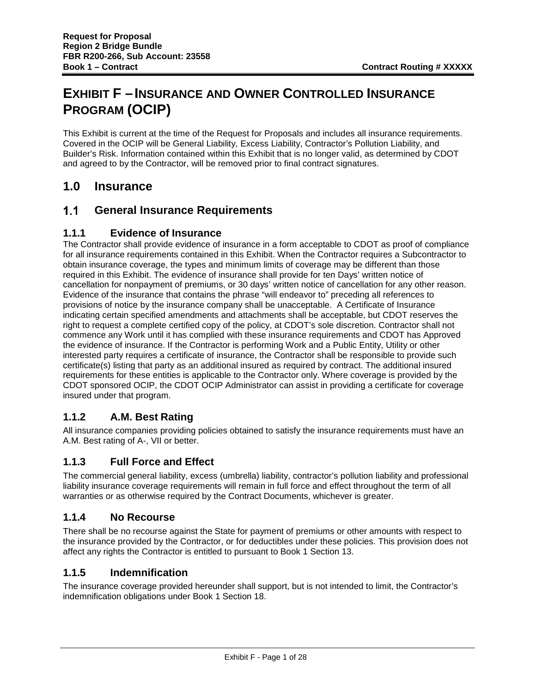# **EXHIBIT F –INSURANCE AND OWNER CONTROLLED INSURANCE PROGRAM (OCIP)**

This Exhibit is current at the time of the Request for Proposals and includes all insurance requirements. Covered in the OCIP will be General Liability, Excess Liability, Contractor's Pollution Liability, and Builder's Risk. Information contained within this Exhibit that is no longer valid, as determined by CDOT and agreed to by the Contractor, will be removed prior to final contract signatures.

# **1.0 Insurance**

#### $1.1$ **General Insurance Requirements**

#### **1.1.1 Evidence of Insurance**

The Contractor shall provide evidence of insurance in a form acceptable to CDOT as proof of compliance for all insurance requirements contained in this Exhibit. When the Contractor requires a Subcontractor to obtain insurance coverage, the types and minimum limits of coverage may be different than those required in this Exhibit. The evidence of insurance shall provide for ten Days' written notice of cancellation for nonpayment of premiums, or 30 days' written notice of cancellation for any other reason. Evidence of the insurance that contains the phrase "will endeavor to" preceding all references to provisions of notice by the insurance company shall be unacceptable. A Certificate of Insurance indicating certain specified amendments and attachments shall be acceptable, but CDOT reserves the right to request a complete certified copy of the policy, at CDOT's sole discretion. Contractor shall not commence any Work until it has complied with these insurance requirements and CDOT has Approved the evidence of insurance. If the Contractor is performing Work and a Public Entity, Utility or other interested party requires a certificate of insurance, the Contractor shall be responsible to provide such certificate(s) listing that party as an additional insured as required by contract. The additional insured requirements for these entities is applicable to the Contractor only. Where coverage is provided by the CDOT sponsored OCIP, the CDOT OCIP Administrator can assist in providing a certificate for coverage insured under that program.

# **1.1.2 A.M. Best Rating**

All insurance companies providing policies obtained to satisfy the insurance requirements must have an A.M. Best rating of A-, VII or better.

# **1.1.3 Full Force and Effect**

The commercial general liability, excess (umbrella) liability, contractor's pollution liability and professional liability insurance coverage requirements will remain in full force and effect throughout the term of all warranties or as otherwise required by the Contract Documents, whichever is greater.

#### **1.1.4 No Recourse**

There shall be no recourse against the State for payment of premiums or other amounts with respect to the insurance provided by the Contractor, or for deductibles under these policies. This provision does not affect any rights the Contractor is entitled to pursuant to Book 1 Section 13.

# **1.1.5 Indemnification**

The insurance coverage provided hereunder shall support, but is not intended to limit, the Contractor's indemnification obligations under Book 1 Section 18.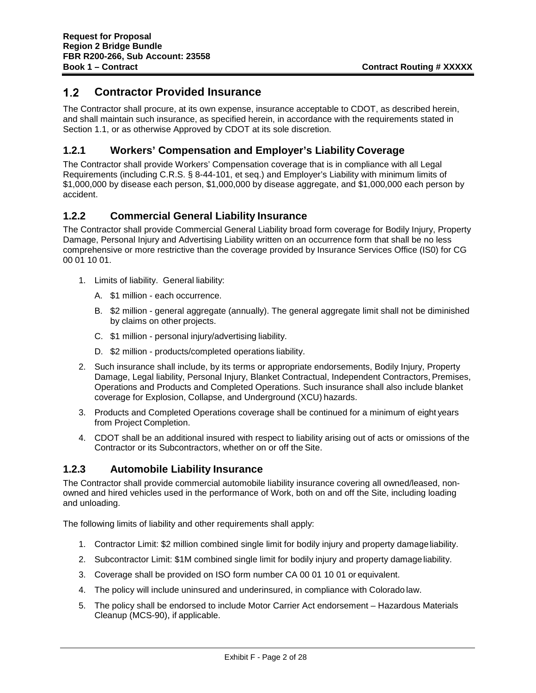#### $1.2$ **Contractor Provided Insurance**

The Contractor shall procure, at its own expense, insurance acceptable to CDOT, as described herein, and shall maintain such insurance, as specified herein, in accordance with the requirements stated in Section 1.1, or as otherwise Approved by CDOT at its sole discretion.

# **1.2.1 Workers' Compensation and Employer's Liability Coverage**

The Contractor shall provide Workers' Compensation coverage that is in compliance with all Legal Requirements (including C.R.S. § 8-44-101, et seq.) and Employer's Liability with minimum limits of \$1,000,000 by disease each person, \$1,000,000 by disease aggregate, and \$1,000,000 each person by accident.

# **1.2.2 Commercial General Liability Insurance**

The Contractor shall provide Commercial General Liability broad form coverage for Bodily Injury, Property Damage, Personal Injury and Advertising Liability written on an occurrence form that shall be no less comprehensive or more restrictive than the coverage provided by Insurance Services Office (IS0) for CG 00 01 10 01.

- 1. Limits of liability. General liability:
	- A. \$1 million each occurrence.
	- B. \$2 million general aggregate (annually). The general aggregate limit shall not be diminished by claims on other projects.
	- C. \$1 million personal injury/advertising liability.
	- D. \$2 million products/completed operations liability.
- 2. Such insurance shall include, by its terms or appropriate endorsements, Bodily Injury, Property Damage, Legal liability, Personal Injury, Blanket Contractual, Independent Contractors, Premises, Operations and Products and Completed Operations. Such insurance shall also include blanket coverage for Explosion, Collapse, and Underground (XCU) hazards.
- 3. Products and Completed Operations coverage shall be continued for a minimum of eight years from Project Completion.
- 4. CDOT shall be an additional insured with respect to liability arising out of acts or omissions of the Contractor or its Subcontractors, whether on or off the Site.

#### **1.2.3 Automobile Liability Insurance**

The Contractor shall provide commercial automobile liability insurance covering all owned/leased, nonowned and hired vehicles used in the performance of Work, both on and off the Site, including loading and unloading.

The following limits of liability and other requirements shall apply:

- 1. Contractor Limit: \$2 million combined single limit for bodily injury and property damageliability.
- 2. Subcontractor Limit: \$1M combined single limit for bodily injury and property damageliability.
- 3. Coverage shall be provided on ISO form number CA 00 01 10 01 or equivalent.
- 4. The policy will include uninsured and underinsured, in compliance with Colorado law.
- 5. The policy shall be endorsed to include Motor Carrier Act endorsement Hazardous Materials Cleanup (MCS-90), if applicable.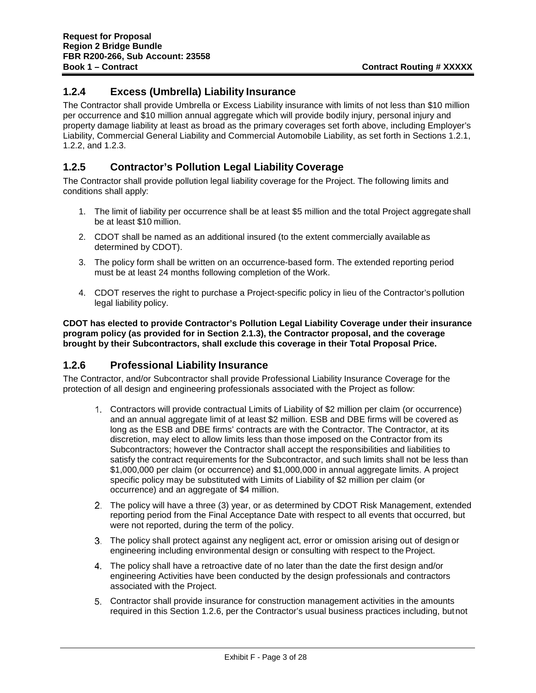#### **1.2.4 Excess (Umbrella) Liability Insurance**

The Contractor shall provide Umbrella or Excess Liability insurance with limits of not less than \$10 million per occurrence and \$10 million annual aggregate which will provide bodily injury, personal injury and property damage liability at least as broad as the primary coverages set forth above, including Employer's Liability, Commercial General Liability and Commercial Automobile Liability, as set forth in Sections 1.2.1, 1.2.2, and 1.2.3.

#### **1.2.5 Contractor's Pollution Legal Liability Coverage**

The Contractor shall provide pollution legal liability coverage for the Project. The following limits and conditions shall apply:

- 1. The limit of liability per occurrence shall be at least \$5 million and the total Project aggregateshall be at least \$10 million.
- 2. CDOT shall be named as an additional insured (to the extent commercially available as determined by CDOT).
- 3. The policy form shall be written on an occurrence-based form. The extended reporting period must be at least 24 months following completion of the Work.
- 4. CDOT reserves the right to purchase a Project-specific policy in lieu of the Contractor's pollution legal liability policy.

**CDOT has elected to provide Contractor's Pollution Legal Liability Coverage under their insurance program policy (as provided for in Section 2.1.3), the Contractor proposal, and the coverage brought by their Subcontractors, shall exclude this coverage in their Total Proposal Price.**

# **1.2.6 Professional Liability Insurance**

The Contractor, and/or Subcontractor shall provide Professional Liability Insurance Coverage for the protection of all design and engineering professionals associated with the Project as follow:

- Contractors will provide contractual Limits of Liability of \$2 million per claim (or occurrence) and an annual aggregate limit of at least \$2 million. ESB and DBE firms will be covered as long as the ESB and DBE firms' contracts are with the Contractor. The Contractor, at its discretion, may elect to allow limits less than those imposed on the Contractor from its Subcontractors; however the Contractor shall accept the responsibilities and liabilities to satisfy the contract requirements for the Subcontractor, and such limits shall not be less than \$1,000,000 per claim (or occurrence) and \$1,000,000 in annual aggregate limits. A project specific policy may be substituted with Limits of Liability of \$2 million per claim (or occurrence) and an aggregate of \$4 million.
- The policy will have a three (3) year, or as determined by CDOT Risk Management, extended reporting period from the Final Acceptance Date with respect to all events that occurred, but were not reported, during the term of the policy.
- The policy shall protect against any negligent act, error or omission arising out of design or engineering including environmental design or consulting with respect to the Project.
- The policy shall have a retroactive date of no later than the date the first design and/or engineering Activities have been conducted by the design professionals and contractors associated with the Project.
- Contractor shall provide insurance for construction management activities in the amounts required in this Section 1.2.6, per the Contractor's usual business practices including, butnot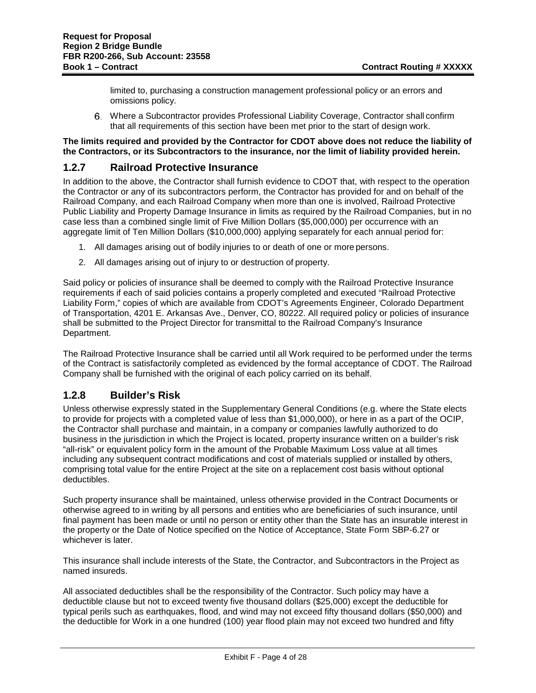limited to, purchasing a construction management professional policy or an errors and omissions policy.

 Where a Subcontractor provides Professional Liability Coverage, Contractor shall confirm that all requirements of this section have been met prior to the start of design work.

#### **The limits required and provided by the Contractor for CDOT above does not reduce the liability of the Contractors, or its Subcontractors to the insurance, nor the limit of liability provided herein.**

#### **1.2.7 Railroad Protective Insurance**

In addition to the above, the Contractor shall furnish evidence to CDOT that, with respect to the operation the Contractor or any of its subcontractors perform, the Contractor has provided for and on behalf of the Railroad Company, and each Railroad Company when more than one is involved, Railroad Protective Public Liability and Property Damage Insurance in limits as required by the Railroad Companies, but in no case less than a combined single limit of Five Million Dollars (\$5,000,000) per occurrence with an aggregate limit of Ten Million Dollars (\$10,000,000) applying separately for each annual period for:

- 1. All damages arising out of bodily injuries to or death of one or more persons.
- 2. All damages arising out of injury to or destruction of property.

Said policy or policies of insurance shall be deemed to comply with the Railroad Protective Insurance requirements if each of said policies contains a properly completed and executed "Railroad Protective Liability Form," copies of which are available from CDOT's Agreements Engineer, Colorado Department of Transportation, 4201 E. Arkansas Ave., Denver, CO, 80222. All required policy or policies of insurance shall be submitted to the Project Director for transmittal to the Railroad Company's Insurance Department.

The Railroad Protective Insurance shall be carried until all Work required to be performed under the terms of the Contract is satisfactorily completed as evidenced by the formal acceptance of CDOT. The Railroad Company shall be furnished with the original of each policy carried on its behalf.

# **1.2.8 Builder's Risk**

Unless otherwise expressly stated in the Supplementary General Conditions (e.g. where the State elects to provide for projects with a completed value of less than \$1,000,000), or here in as a part of the OCIP, the Contractor shall purchase and maintain, in a company or companies lawfully authorized to do business in the jurisdiction in which the Project is located, property insurance written on a builder's risk "all-risk" or equivalent policy form in the amount of the Probable Maximum Loss value at all times including any subsequent contract modifications and cost of materials supplied or installed by others, comprising total value for the entire Project at the site on a replacement cost basis without optional deductibles.

Such property insurance shall be maintained, unless otherwise provided in the Contract Documents or otherwise agreed to in writing by all persons and entities who are beneficiaries of such insurance, until final payment has been made or until no person or entity other than the State has an insurable interest in the property or the Date of Notice specified on the Notice of Acceptance, State Form SBP-6.27 or whichever is later.

This insurance shall include interests of the State, the Contractor, and Subcontractors in the Project as named insureds.

All associated deductibles shall be the responsibility of the Contractor. Such policy may have a deductible clause but not to exceed twenty five thousand dollars (\$25,000) except the deductible for typical perils such as earthquakes, flood, and wind may not exceed fifty thousand dollars (\$50,000) and the deductible for Work in a one hundred (100) year flood plain may not exceed two hundred and fifty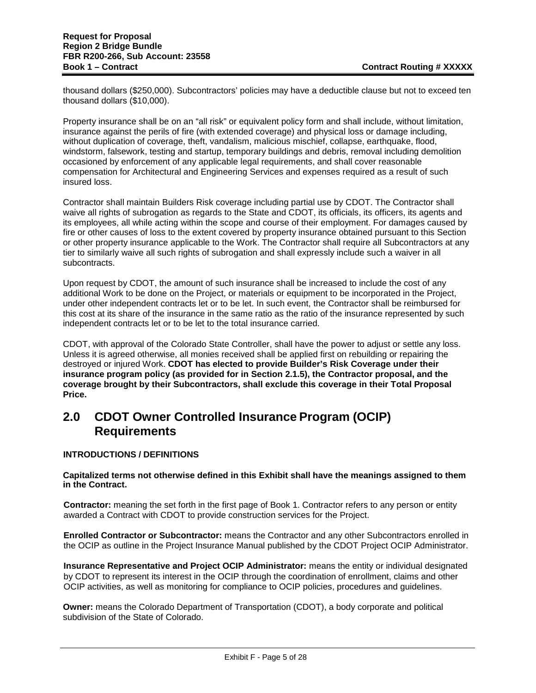thousand dollars (\$250,000). Subcontractors' policies may have a deductible clause but not to exceed ten thousand dollars (\$10,000).

Property insurance shall be on an "all risk" or equivalent policy form and shall include, without limitation, insurance against the perils of fire (with extended coverage) and physical loss or damage including, without duplication of coverage, theft, vandalism, malicious mischief, collapse, earthquake, flood, windstorm, falsework, testing and startup, temporary buildings and debris, removal including demolition occasioned by enforcement of any applicable legal requirements, and shall cover reasonable compensation for Architectural and Engineering Services and expenses required as a result of such insured loss.

Contractor shall maintain Builders Risk coverage including partial use by CDOT. The Contractor shall waive all rights of subrogation as regards to the State and CDOT, its officials, its officers, its agents and its employees, all while acting within the scope and course of their employment. For damages caused by fire or other causes of loss to the extent covered by property insurance obtained pursuant to this Section or other property insurance applicable to the Work. The Contractor shall require all Subcontractors at any tier to similarly waive all such rights of subrogation and shall expressly include such a waiver in all subcontracts.

Upon request by CDOT, the amount of such insurance shall be increased to include the cost of any additional Work to be done on the Project, or materials or equipment to be incorporated in the Project, under other independent contracts let or to be let. In such event, the Contractor shall be reimbursed for this cost at its share of the insurance in the same ratio as the ratio of the insurance represented by such independent contracts let or to be let to the total insurance carried.

CDOT, with approval of the Colorado State Controller, shall have the power to adjust or settle any loss. Unless it is agreed otherwise, all monies received shall be applied first on rebuilding or repairing the destroyed or injured Work. **CDOT has elected to provide Builder's Risk Coverage under their insurance program policy (as provided for in Section 2.1.5), the Contractor proposal, and the coverage brought by their Subcontractors, shall exclude this coverage in their Total Proposal Price.**

# **2.0 CDOT Owner Controlled Insurance Program (OCIP) Requirements**

#### **INTRODUCTIONS / DEFINITIONS**

#### **Capitalized terms not otherwise defined in this Exhibit shall have the meanings assigned to them in the Contract.**

**Contractor:** meaning the set forth in the first page of Book 1. Contractor refers to any person or entity awarded a Contract with CDOT to provide construction services for the Project.

**Enrolled Contractor or Subcontractor:** means the Contractor and any other Subcontractors enrolled in the OCIP as outline in the Project Insurance Manual published by the CDOT Project OCIP Administrator.

**Insurance Representative and Project OCIP Administrator:** means the entity or individual designated by CDOT to represent its interest in the OCIP through the coordination of enrollment, claims and other OCIP activities, as well as monitoring for compliance to OCIP policies, procedures and guidelines.

**Owner:** means the Colorado Department of Transportation (CDOT), a body corporate and political subdivision of the State of Colorado.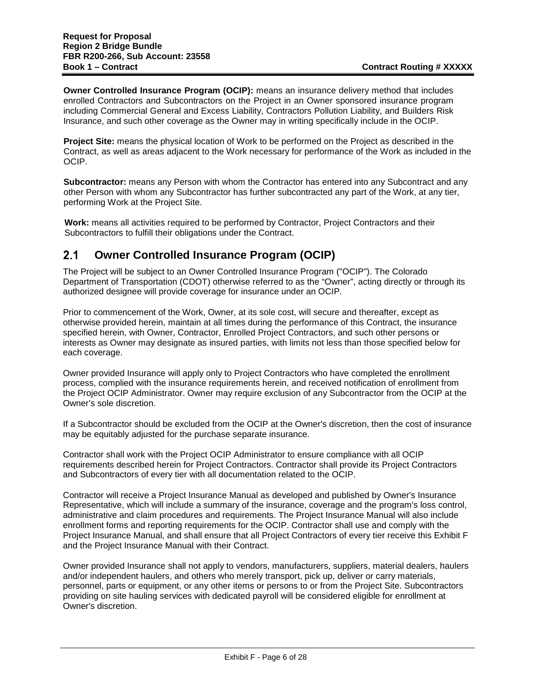**Owner Controlled Insurance Program (OCIP):** means an insurance delivery method that includes enrolled Contractors and Subcontractors on the Project in an Owner sponsored insurance program including Commercial General and Excess Liability, Contractors Pollution Liability, and Builders Risk Insurance, and such other coverage as the Owner may in writing specifically include in the OCIP.

**Project Site:** means the physical location of Work to be performed on the Project as described in the Contract, as well as areas adjacent to the Work necessary for performance of the Work as included in the OCIP.

**Subcontractor:** means any Person with whom the Contractor has entered into any Subcontract and any other Person with whom any Subcontractor has further subcontracted any part of the Work, at any tier, performing Work at the Project Site.

**Work:** means all activities required to be performed by Contractor, Project Contractors and their Subcontractors to fulfill their obligations under the Contract.

#### $2.1$ **Owner Controlled Insurance Program (OCIP)**

The Project will be subject to an Owner Controlled Insurance Program ("OCIP"). The Colorado Department of Transportation (CDOT) otherwise referred to as the "Owner", acting directly or through its authorized designee will provide coverage for insurance under an OCIP.

Prior to commencement of the Work, Owner, at its sole cost, will secure and thereafter, except as otherwise provided herein, maintain at all times during the performance of this Contract, the insurance specified herein, with Owner, Contractor, Enrolled Project Contractors, and such other persons or interests as Owner may designate as insured parties, with limits not less than those specified below for each coverage.

Owner provided Insurance will apply only to Project Contractors who have completed the enrollment process, complied with the insurance requirements herein, and received notification of enrollment from the Project OCIP Administrator. Owner may require exclusion of any Subcontractor from the OCIP at the Owner's sole discretion.

If a Subcontractor should be excluded from the OCIP at the Owner's discretion, then the cost of insurance may be equitably adjusted for the purchase separate insurance.

Contractor shall work with the Project OCIP Administrator to ensure compliance with all OCIP requirements described herein for Project Contractors. Contractor shall provide its Project Contractors and Subcontractors of every tier with all documentation related to the OCIP.

Contractor will receive a Project Insurance Manual as developed and published by Owner's Insurance Representative, which will include a summary of the insurance, coverage and the program's loss control, administrative and claim procedures and requirements. The Project Insurance Manual will also include enrollment forms and reporting requirements for the OCIP. Contractor shall use and comply with the Project Insurance Manual, and shall ensure that all Project Contractors of every tier receive this Exhibit F and the Project Insurance Manual with their Contract.

Owner provided Insurance shall not apply to vendors, manufacturers, suppliers, material dealers, haulers and/or independent haulers, and others who merely transport, pick up, deliver or carry materials, personnel, parts or equipment, or any other items or persons to or from the Project Site. Subcontractors providing on site hauling services with dedicated payroll will be considered eligible for enrollment at Owner's discretion.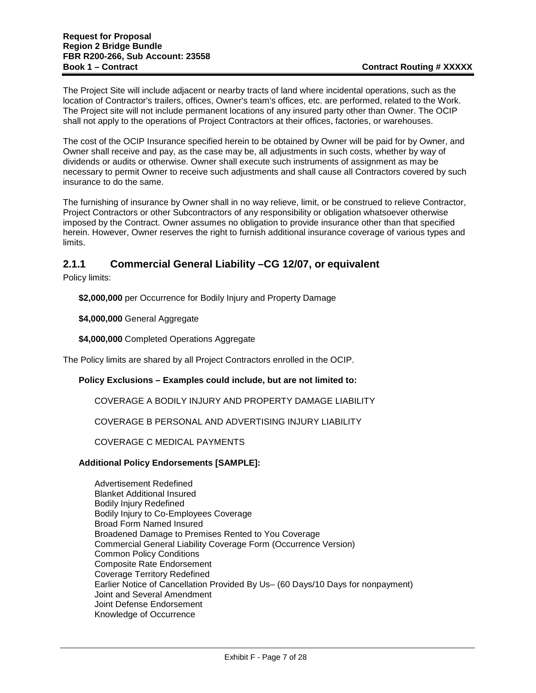The Project Site will include adjacent or nearby tracts of land where incidental operations, such as the location of Contractor's trailers, offices, Owner's team's offices, etc. are performed, related to the Work. The Project site will not include permanent locations of any insured party other than Owner. The OCIP shall not apply to the operations of Project Contractors at their offices, factories, or warehouses.

The cost of the OCIP Insurance specified herein to be obtained by Owner will be paid for by Owner, and Owner shall receive and pay, as the case may be, all adjustments in such costs, whether by way of dividends or audits or otherwise. Owner shall execute such instruments of assignment as may be necessary to permit Owner to receive such adjustments and shall cause all Contractors covered by such insurance to do the same.

The furnishing of insurance by Owner shall in no way relieve, limit, or be construed to relieve Contractor, Project Contractors or other Subcontractors of any responsibility or obligation whatsoever otherwise imposed by the Contract. Owner assumes no obligation to provide insurance other than that specified herein. However, Owner reserves the right to furnish additional insurance coverage of various types and limits.

# **2.1.1 Commercial General Liability –CG 12/07, or equivalent**

Policy limits:

**\$2,000,000** per Occurrence for Bodily Injury and Property Damage

**\$4,000,000** General Aggregate

**\$4,000,000** Completed Operations Aggregate

The Policy limits are shared by all Project Contractors enrolled in the OCIP.

#### **Policy Exclusions – Examples could include, but are not limited to:**

COVERAGE A BODILY INJURY AND PROPERTY DAMAGE LIABILITY

COVERAGE B PERSONAL AND ADVERTISING INJURY LIABILITY

COVERAGE C MEDICAL PAYMENTS

#### **Additional Policy Endorsements [SAMPLE]:**

Advertisement Redefined Blanket Additional Insured Bodily Injury Redefined Bodily Injury to Co-Employees Coverage Broad Form Named Insured Broadened Damage to Premises Rented to You Coverage Commercial General Liability Coverage Form (Occurrence Version) Common Policy Conditions Composite Rate Endorsement Coverage Territory Redefined Earlier Notice of Cancellation Provided By Us– (60 Days/10 Days for nonpayment) Joint and Several Amendment Joint Defense Endorsement Knowledge of Occurrence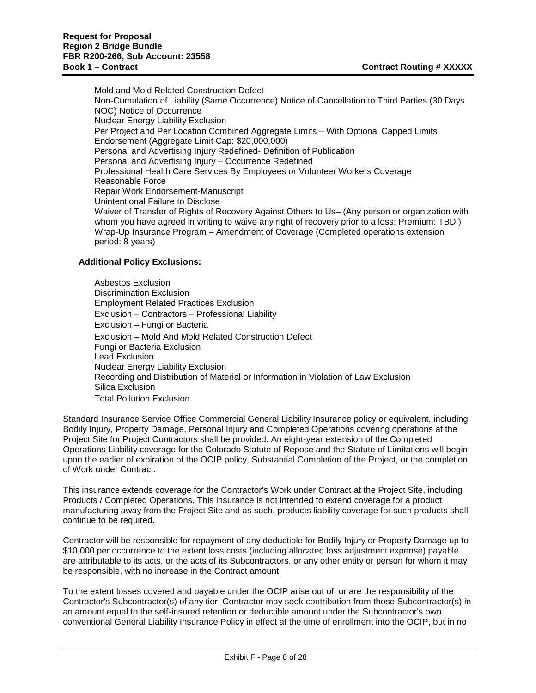Mold and Mold Related Construction Defect Non-Cumulation of Liability (Same Occurrence) Notice of Cancellation to Third Parties (30 Days NOC) Notice of Occurrence Nuclear Energy Liability Exclusion Per Project and Per Location Combined Aggregate Limits – With Optional Capped Limits Endorsement (Aggregate Limit Cap: \$20,000,000) Personal and Advertising Injury Redefined- Definition of Publication Personal and Advertising Injury – Occurrence Redefined Professional Health Care Services By Employees or Volunteer Workers Coverage Reasonable Force Repair Work Endorsement-Manuscript Unintentional Failure to Disclose Waiver of Transfer of Rights of Recovery Against Others to Us– (Any person or organization with whom you have agreed in writing to waive any right of recovery prior to a loss; Premium: TBD) Wrap-Up Insurance Program – Amendment of Coverage (Completed operations extension period: 8 years)

#### **Additional Policy Exclusions:**

Asbestos Exclusion Discrimination Exclusion Employment Related Practices Exclusion Exclusion – Contractors – Professional Liability Exclusion – Fungi or Bacteria Exclusion – Mold And Mold Related Construction Defect Fungi or Bacteria Exclusion Lead Exclusion Nuclear Energy Liability Exclusion Recording and Distribution of Material or Information in Violation of Law Exclusion Silica Exclusion Total Pollution Exclusion

Standard Insurance Service Office Commercial General Liability Insurance policy or equivalent, including Bodily Injury, Property Damage, Personal Injury and Completed Operations covering operations at the Project Site for Project Contractors shall be provided. An eight-year extension of the Completed Operations Liability coverage for the Colorado Statute of Repose and the Statute of Limitations will begin upon the earlier of expiration of the OCIP policy, Substantial Completion of the Project, or the completion of Work under Contract.

This insurance extends coverage for the Contractor's Work under Contract at the Project Site, including Products / Completed Operations. This insurance is not intended to extend coverage for a product manufacturing away from the Project Site and as such, products liability coverage for such products shall continue to be required.

Contractor will be responsible for repayment of any deductible for Bodily Injury or Property Damage up to \$10,000 per occurrence to the extent loss costs (including allocated loss adjustment expense) payable are attributable to its acts, or the acts of its Subcontractors, or any other entity or person for whom it may be responsible, with no increase in the Contract amount.

To the extent losses covered and payable under the OCIP arise out of, or are the responsibility of the Contractor's Subcontractor(s) of any tier, Contractor may seek contribution from those Subcontractor(s) in an amount equal to the self-insured retention or deductible amount under the Subcontractor's own conventional General Liability Insurance Policy in effect at the time of enrollment into the OCIP, but in no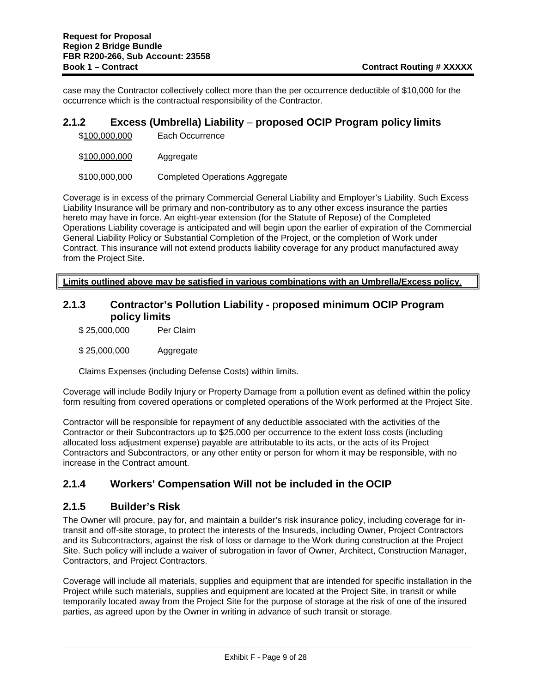case may the Contractor collectively collect more than the per occurrence deductible of \$10,000 for the occurrence which is the contractual responsibility of the Contractor.

#### **2.1.2 Excess (Umbrella) Liability** – **proposed OCIP Program policy limits**

\$100,000,000 Aggregate

\$100,000,000 Completed Operations Aggregate

Coverage is in excess of the primary Commercial General Liability and Employer's Liability. Such Excess Liability Insurance will be primary and non-contributory as to any other excess insurance the parties hereto may have in force. An eight-year extension (for the Statute of Repose) of the Completed Operations Liability coverage is anticipated and will begin upon the earlier of expiration of the Commercial General Liability Policy or Substantial Completion of the Project, or the completion of Work under Contract. This insurance will not extend products liability coverage for any product manufactured away from the Project Site.

**Limits outlined above may be satisfied in various combinations with an Umbrella/Excess policy**.

#### **2.1.3 Contractor's Pollution Liability -** p**roposed minimum OCIP Program policy limits**

- \$ 25,000,000 Per Claim
- \$ 25,000,000 Aggregate

Claims Expenses (including Defense Costs) within limits.

Coverage will include Bodily Injury or Property Damage from a pollution event as defined within the policy form resulting from covered operations or completed operations of the Work performed at the Project Site.

Contractor will be responsible for repayment of any deductible associated with the activities of the Contractor or their Subcontractors up to \$25,000 per occurrence to the extent loss costs (including allocated loss adjustment expense) payable are attributable to its acts, or the acts of its Project Contractors and Subcontractors, or any other entity or person for whom it may be responsible, with no increase in the Contract amount.

# **2.1.4 Workers' Compensation Will not be included in the OCIP**

#### **2.1.5 Builder's Risk**

The Owner will procure, pay for, and maintain a builder's risk insurance policy, including coverage for intransit and off-site storage, to protect the interests of the Insureds, including Owner, Project Contractors and its Subcontractors, against the risk of loss or damage to the Work during construction at the Project Site. Such policy will include a waiver of subrogation in favor of Owner, Architect, Construction Manager, Contractors, and Project Contractors.

Coverage will include all materials, supplies and equipment that are intended for specific installation in the Project while such materials, supplies and equipment are located at the Project Site, in transit or while temporarily located away from the Project Site for the purpose of storage at the risk of one of the insured parties, as agreed upon by the Owner in writing in advance of such transit or storage.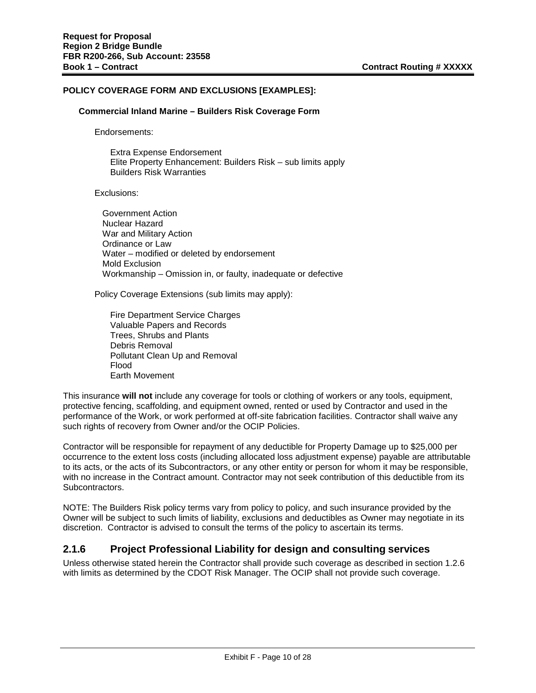#### **POLICY COVERAGE FORM AND EXCLUSIONS [EXAMPLES]:**

#### **Commercial Inland Marine – Builders Risk Coverage Form**

Endorsements:

Extra Expense Endorsement Elite Property Enhancement: Builders Risk – sub limits apply Builders Risk Warranties

Exclusions:

Government Action Nuclear Hazard War and Military Action Ordinance or Law Water – modified or deleted by endorsement Mold Exclusion Workmanship – Omission in, or faulty, inadequate or defective

Policy Coverage Extensions (sub limits may apply):

Fire Department Service Charges Valuable Papers and Records Trees, Shrubs and Plants Debris Removal Pollutant Clean Up and Removal Flood Earth Movement

This insurance **will not** include any coverage for tools or clothing of workers or any tools, equipment, protective fencing, scaffolding, and equipment owned, rented or used by Contractor and used in the performance of the Work, or work performed at off-site fabrication facilities. Contractor shall waive any such rights of recovery from Owner and/or the OCIP Policies.

Contractor will be responsible for repayment of any deductible for Property Damage up to \$25,000 per occurrence to the extent loss costs (including allocated loss adjustment expense) payable are attributable to its acts, or the acts of its Subcontractors, or any other entity or person for whom it may be responsible, with no increase in the Contract amount. Contractor may not seek contribution of this deductible from its Subcontractors.

NOTE: The Builders Risk policy terms vary from policy to policy, and such insurance provided by the Owner will be subject to such limits of liability, exclusions and deductibles as Owner may negotiate in its discretion. Contractor is advised to consult the terms of the policy to ascertain its terms.

#### **2.1.6 Project Professional Liability for design and consulting services**

Unless otherwise stated herein the Contractor shall provide such coverage as described in section 1.2.6 with limits as determined by the CDOT Risk Manager. The OCIP shall not provide such coverage.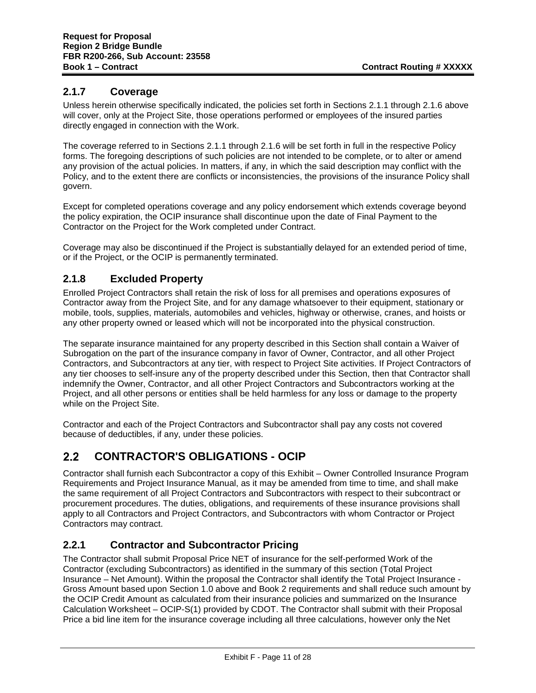# **2.1.7 Coverage**

Unless herein otherwise specifically indicated, the policies set forth in Sections 2.1.1 through 2.1.6 above will cover, only at the Project Site, those operations performed or employees of the insured parties directly engaged in connection with the Work.

The coverage referred to in Sections 2.1.1 through 2.1.6 will be set forth in full in the respective Policy forms. The foregoing descriptions of such policies are not intended to be complete, or to alter or amend any provision of the actual policies. In matters, if any, in which the said description may conflict with the Policy, and to the extent there are conflicts or inconsistencies, the provisions of the insurance Policy shall govern.

Except for completed operations coverage and any policy endorsement which extends coverage beyond the policy expiration, the OCIP insurance shall discontinue upon the date of Final Payment to the Contractor on the Project for the Work completed under Contract.

Coverage may also be discontinued if the Project is substantially delayed for an extended period of time, or if the Project, or the OCIP is permanently terminated.

# **2.1.8 Excluded Property**

Enrolled Project Contractors shall retain the risk of loss for all premises and operations exposures of Contractor away from the Project Site, and for any damage whatsoever to their equipment, stationary or mobile, tools, supplies, materials, automobiles and vehicles, highway or otherwise, cranes, and hoists or any other property owned or leased which will not be incorporated into the physical construction.

The separate insurance maintained for any property described in this Section shall contain a Waiver of Subrogation on the part of the insurance company in favor of Owner, Contractor, and all other Project Contractors, and Subcontractors at any tier, with respect to Project Site activities. If Project Contractors of any tier chooses to self-insure any of the property described under this Section, then that Contractor shall indemnify the Owner, Contractor, and all other Project Contractors and Subcontractors working at the Project, and all other persons or entities shall be held harmless for any loss or damage to the property while on the Project Site.

Contractor and each of the Project Contractors and Subcontractor shall pay any costs not covered because of deductibles, if any, under these policies.

#### **CONTRACTOR'S OBLIGATIONS - OCIP**  $2.2$

Contractor shall furnish each Subcontractor a copy of this Exhibit – Owner Controlled Insurance Program Requirements and Project Insurance Manual, as it may be amended from time to time, and shall make the same requirement of all Project Contractors and Subcontractors with respect to their subcontract or procurement procedures. The duties, obligations, and requirements of these insurance provisions shall apply to all Contractors and Project Contractors, and Subcontractors with whom Contractor or Project Contractors may contract.

# **2.2.1 Contractor and Subcontractor Pricing**

The Contractor shall submit Proposal Price NET of insurance for the self-performed Work of the Contractor (excluding Subcontractors) as identified in the summary of this section (Total Project Insurance – Net Amount). Within the proposal the Contractor shall identify the Total Project Insurance - Gross Amount based upon Section 1.0 above and Book 2 requirements and shall reduce such amount by the OCIP Credit Amount as calculated from their insurance policies and summarized on the Insurance Calculation Worksheet – OCIP-S(1) provided by CDOT. The Contractor shall submit with their Proposal Price a bid line item for the insurance coverage including all three calculations, however only the Net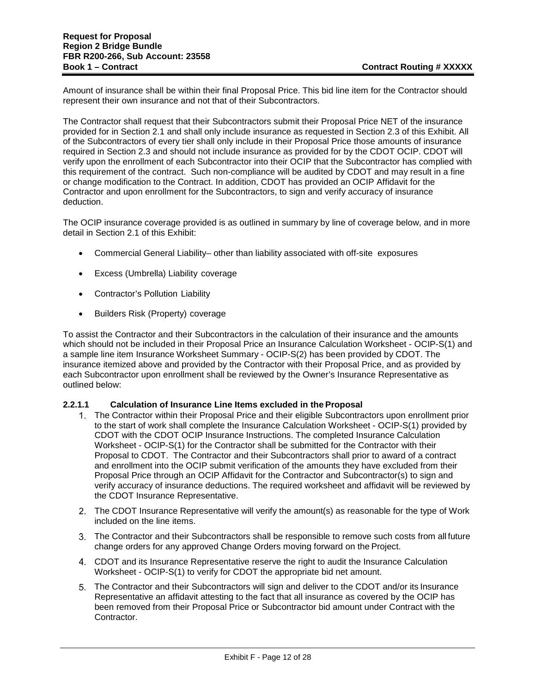Amount of insurance shall be within their final Proposal Price. This bid line item for the Contractor should represent their own insurance and not that of their Subcontractors.

The Contractor shall request that their Subcontractors submit their Proposal Price NET of the insurance provided for in Section 2.1 and shall only include insurance as requested in Section 2.3 of this Exhibit. All of the Subcontractors of every tier shall only include in their Proposal Price those amounts of insurance required in Section 2.3 and should not include insurance as provided for by the CDOT OCIP. CDOT will verify upon the enrollment of each Subcontractor into their OCIP that the Subcontractor has complied with this requirement of the contract. Such non-compliance will be audited by CDOT and may result in a fine or change modification to the Contract. In addition, CDOT has provided an OCIP Affidavit for the Contractor and upon enrollment for the Subcontractors, to sign and verify accuracy of insurance deduction.

The OCIP insurance coverage provided is as outlined in summary by line of coverage below, and in more detail in Section 2.1 of this Exhibit:

- Commercial General Liability– other than liability associated with off-site exposures
- Excess (Umbrella) Liability coverage
- Contractor's Pollution Liability
- Builders Risk (Property) coverage

To assist the Contractor and their Subcontractors in the calculation of their insurance and the amounts which should not be included in their Proposal Price an Insurance Calculation Worksheet - OCIP-S(1) and a sample line item Insurance Worksheet Summary - OCIP-S(2) has been provided by CDOT. The insurance itemized above and provided by the Contractor with their Proposal Price, and as provided by each Subcontractor upon enrollment shall be reviewed by the Owner's Insurance Representative as outlined below:

#### **2.2.1.1 Calculation of Insurance Line Items excluded in the Proposal**

- The Contractor within their Proposal Price and their eligible Subcontractors upon enrollment prior to the start of work shall complete the Insurance Calculation Worksheet - OCIP-S(1) provided by CDOT with the CDOT OCIP Insurance Instructions. The completed Insurance Calculation Worksheet - OCIP-S(1) for the Contractor shall be submitted for the Contractor with their Proposal to CDOT. The Contractor and their Subcontractors shall prior to award of a contract and enrollment into the OCIP submit verification of the amounts they have excluded from their Proposal Price through an OCIP Affidavit for the Contractor and Subcontractor(s) to sign and verify accuracy of insurance deductions. The required worksheet and affidavit will be reviewed by the CDOT Insurance Representative.
- The CDOT Insurance Representative will verify the amount(s) as reasonable for the type of Work included on the line items.
- The Contractor and their Subcontractors shall be responsible to remove such costs from all future change orders for any approved Change Orders moving forward on the Project.
- CDOT and its Insurance Representative reserve the right to audit the Insurance Calculation Worksheet - OCIP-S(1) to verify for CDOT the appropriate bid net amount.
- The Contractor and their Subcontractors will sign and deliver to the CDOT and/or its Insurance Representative an affidavit attesting to the fact that all insurance as covered by the OCIP has been removed from their Proposal Price or Subcontractor bid amount under Contract with the Contractor.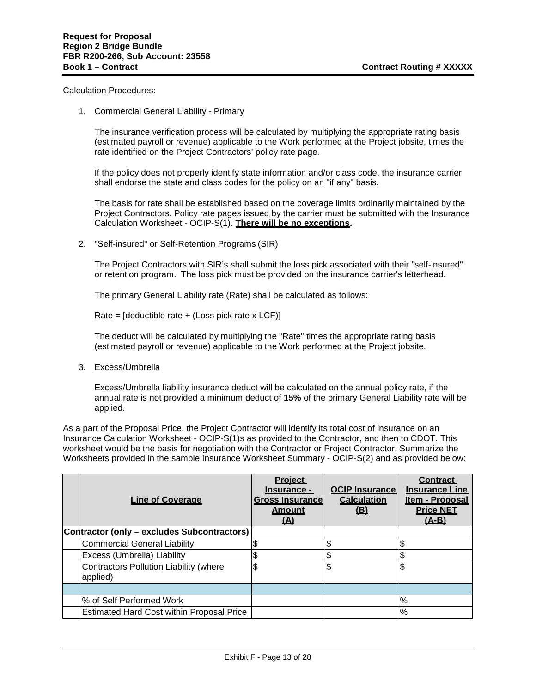Calculation Procedures:

1. Commercial General Liability - Primary

The insurance verification process will be calculated by multiplying the appropriate rating basis (estimated payroll or revenue) applicable to the Work performed at the Project jobsite, times the rate identified on the Project Contractors' policy rate page.

If the policy does not properly identify state information and/or class code, the insurance carrier shall endorse the state and class codes for the policy on an "if any" basis.

The basis for rate shall be established based on the coverage limits ordinarily maintained by the Project Contractors. Policy rate pages issued by the carrier must be submitted with the Insurance Calculation Worksheet - OCIP-S(1). **There will be no exceptions.**

2. "Self-insured" or Self-Retention Programs (SIR)

The Project Contractors with SIR's shall submit the loss pick associated with their "self-insured" or retention program. The loss pick must be provided on the insurance carrier's letterhead.

The primary General Liability rate (Rate) shall be calculated as follows:

Rate =  $[deductible rate + (Loss pick rate x LCF)]$ 

The deduct will be calculated by multiplying the "Rate" times the appropriate rating basis (estimated payroll or revenue) applicable to the Work performed at the Project jobsite.

3. Excess/Umbrella

Excess/Umbrella liability insurance deduct will be calculated on the annual policy rate, if the annual rate is not provided a minimum deduct of **15%** of the primary General Liability rate will be applied.

As a part of the Proposal Price, the Project Contractor will identify its total cost of insurance on an Insurance Calculation Worksheet - OCIP-S(1)s as provided to the Contractor, and then to CDOT. This worksheet would be the basis for negotiation with the Contractor or Project Contractor. Summarize the Worksheets provided in the sample Insurance Worksheet Summary - OCIP-S(2) and as provided below:

| <b>Line of Coverage</b>                            | <b>Project</b><br>Insurance -<br><b>Gross Insurance</b><br><b>Amount</b><br>$\Delta$ | <b>OCIP Insurance</b><br><b>Calculation</b><br>(B) | <b>Contract</b><br><b>Insurance Line</b><br>Item - Proposal<br><b>Price NET</b><br>$(A-B)$ |
|----------------------------------------------------|--------------------------------------------------------------------------------------|----------------------------------------------------|--------------------------------------------------------------------------------------------|
| Contractor (only - excludes Subcontractors)        |                                                                                      |                                                    |                                                                                            |
| <b>Commercial General Liability</b>                |                                                                                      |                                                    |                                                                                            |
| Excess (Umbrella) Liability                        |                                                                                      | c                                                  |                                                                                            |
| Contractors Pollution Liability (where<br>applied) |                                                                                      | \$                                                 |                                                                                            |
|                                                    |                                                                                      |                                                    |                                                                                            |
| % of Self Performed Work                           |                                                                                      |                                                    | %                                                                                          |
| <b>Estimated Hard Cost within Proposal Price</b>   |                                                                                      |                                                    | %                                                                                          |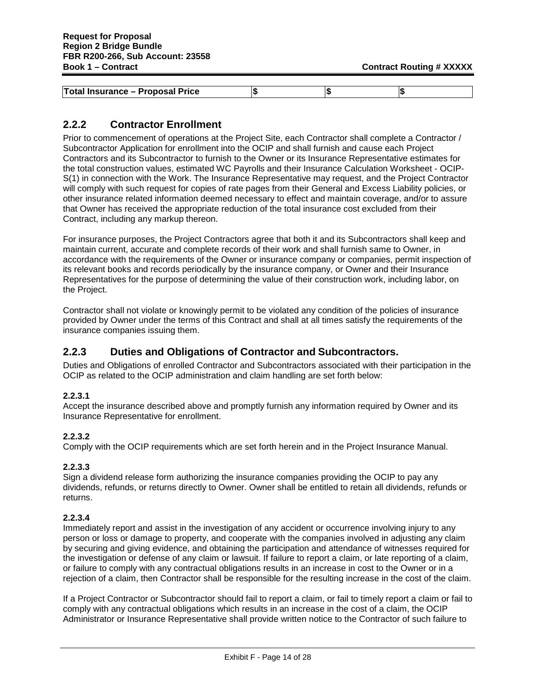| Total Insurance - Proposal Price | LШ |  |
|----------------------------------|----|--|

# **2.2.2 Contractor Enrollment**

Prior to commencement of operations at the Project Site, each Contractor shall complete a Contractor / Subcontractor Application for enrollment into the OCIP and shall furnish and cause each Project Contractors and its Subcontractor to furnish to the Owner or its Insurance Representative estimates for the total construction values, estimated WC Payrolls and their Insurance Calculation Worksheet - OCIP-S(1) in connection with the Work. The Insurance Representative may request, and the Project Contractor will comply with such request for copies of rate pages from their General and Excess Liability policies, or other insurance related information deemed necessary to effect and maintain coverage, and/or to assure that Owner has received the appropriate reduction of the total insurance cost excluded from their Contract, including any markup thereon.

For insurance purposes, the Project Contractors agree that both it and its Subcontractors shall keep and maintain current, accurate and complete records of their work and shall furnish same to Owner, in accordance with the requirements of the Owner or insurance company or companies, permit inspection of its relevant books and records periodically by the insurance company, or Owner and their Insurance Representatives for the purpose of determining the value of their construction work, including labor, on the Project.

Contractor shall not violate or knowingly permit to be violated any condition of the policies of insurance provided by Owner under the terms of this Contract and shall at all times satisfy the requirements of the insurance companies issuing them.

# **2.2.3 Duties and Obligations of Contractor and Subcontractors.**

Duties and Obligations of enrolled Contractor and Subcontractors associated with their participation in the OCIP as related to the OCIP administration and claim handling are set forth below:

#### **2.2.3.1**

Accept the insurance described above and promptly furnish any information required by Owner and its Insurance Representative for enrollment.

#### **2.2.3.2**

Comply with the OCIP requirements which are set forth herein and in the Project Insurance Manual.

#### **2.2.3.3**

Sign a dividend release form authorizing the insurance companies providing the OCIP to pay any dividends, refunds, or returns directly to Owner. Owner shall be entitled to retain all dividends, refunds or returns.

#### **2.2.3.4**

Immediately report and assist in the investigation of any accident or occurrence involving injury to any person or loss or damage to property, and cooperate with the companies involved in adjusting any claim by securing and giving evidence, and obtaining the participation and attendance of witnesses required for the investigation or defense of any claim or lawsuit. If failure to report a claim, or late reporting of a claim, or failure to comply with any contractual obligations results in an increase in cost to the Owner or in a rejection of a claim, then Contractor shall be responsible for the resulting increase in the cost of the claim.

If a Project Contractor or Subcontractor should fail to report a claim, or fail to timely report a claim or fail to comply with any contractual obligations which results in an increase in the cost of a claim, the OCIP Administrator or Insurance Representative shall provide written notice to the Contractor of such failure to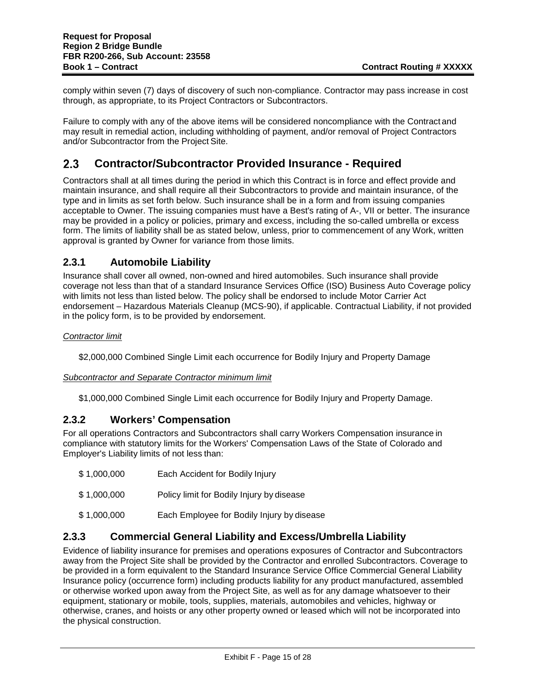comply within seven (7) days of discovery of such non-compliance. Contractor may pass increase in cost through, as appropriate, to its Project Contractors or Subcontractors.

Failure to comply with any of the above items will be considered noncompliance with the Contract and may result in remedial action, including withholding of payment, and/or removal of Project Contractors and/or Subcontractor from the Project Site.

#### **Contractor/Subcontractor Provided Insurance - Required**  $2.3$

Contractors shall at all times during the period in which this Contract is in force and effect provide and maintain insurance, and shall require all their Subcontractors to provide and maintain insurance, of the type and in limits as set forth below. Such insurance shall be in a form and from issuing companies acceptable to Owner. The issuing companies must have a Best's rating of A-, VII or better. The insurance may be provided in a policy or policies, primary and excess, including the so-called umbrella or excess form. The limits of liability shall be as stated below, unless, prior to commencement of any Work, written approval is granted by Owner for variance from those limits.

# **2.3.1 Automobile Liability**

Insurance shall cover all owned, non-owned and hired automobiles. Such insurance shall provide coverage not less than that of a standard Insurance Services Office (ISO) Business Auto Coverage policy with limits not less than listed below. The policy shall be endorsed to include Motor Carrier Act endorsement – Hazardous Materials Cleanup (MCS-90), if applicable. Contractual Liability, if not provided in the policy form, is to be provided by endorsement.

#### *Contractor limit*

\$2,000,000 Combined Single Limit each occurrence for Bodily Injury and Property Damage

#### *Subcontractor and Separate Contractor minimum limit*

\$1,000,000 Combined Single Limit each occurrence for Bodily Injury and Property Damage.

#### **2.3.2 Workers' Compensation**

For all operations Contractors and Subcontractors shall carry Workers Compensation insurance in compliance with statutory limits for the Workers' Compensation Laws of the State of Colorado and Employer's Liability limits of not less than:

- \$ 1,000,000 Each Accident for Bodily Injury
- \$ 1,000,000 Policy limit for Bodily Injury by disease
- \$ 1,000,000 Each Employee for Bodily Injury by disease

# **2.3.3 Commercial General Liability and Excess/Umbrella Liability**

Evidence of liability insurance for premises and operations exposures of Contractor and Subcontractors away from the Project Site shall be provided by the Contractor and enrolled Subcontractors. Coverage to be provided in a form equivalent to the Standard Insurance Service Office Commercial General Liability Insurance policy (occurrence form) including products liability for any product manufactured, assembled or otherwise worked upon away from the Project Site, as well as for any damage whatsoever to their equipment, stationary or mobile, tools, supplies, materials, automobiles and vehicles, highway or otherwise, cranes, and hoists or any other property owned or leased which will not be incorporated into the physical construction.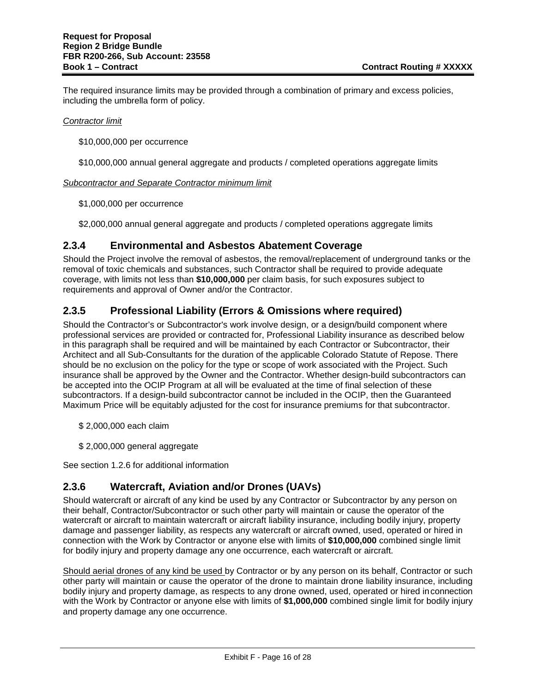The required insurance limits may be provided through a combination of primary and excess policies, including the umbrella form of policy.

#### *Contractor limit*

\$10,000,000 per occurrence

\$10,000,000 annual general aggregate and products / completed operations aggregate limits

*Subcontractor and Separate Contractor minimum limit*

\$1,000,000 per occurrence

\$2,000,000 annual general aggregate and products / completed operations aggregate limits

#### **2.3.4 Environmental and Asbestos Abatement Coverage**

Should the Project involve the removal of asbestos, the removal/replacement of underground tanks or the removal of toxic chemicals and substances, such Contractor shall be required to provide adequate coverage, with limits not less than **\$10,000,000** per claim basis, for such exposures subject to requirements and approval of Owner and/or the Contractor.

#### **2.3.5 Professional Liability (Errors & Omissions where required)**

Should the Contractor's or Subcontractor's work involve design, or a design/build component where professional services are provided or contracted for, Professional Liability insurance as described below in this paragraph shall be required and will be maintained by each Contractor or Subcontractor, their Architect and all Sub-Consultants for the duration of the applicable Colorado Statute of Repose. There should be no exclusion on the policy for the type or scope of work associated with the Project. Such insurance shall be approved by the Owner and the Contractor. Whether design-build subcontractors can be accepted into the OCIP Program at all will be evaluated at the time of final selection of these subcontractors. If a design-build subcontractor cannot be included in the OCIP, then the Guaranteed Maximum Price will be equitably adjusted for the cost for insurance premiums for that subcontractor.

- \$ 2,000,000 each claim
- \$ 2,000,000 general aggregate

See section 1.2.6 for additional information

#### **2.3.6 Watercraft, Aviation and/or Drones (UAVs)**

Should watercraft or aircraft of any kind be used by any Contractor or Subcontractor by any person on their behalf, Contractor/Subcontractor or such other party will maintain or cause the operator of the watercraft or aircraft to maintain watercraft or aircraft liability insurance, including bodily injury, property damage and passenger liability, as respects any watercraft or aircraft owned, used, operated or hired in connection with the Work by Contractor or anyone else with limits of **\$10,000,000** combined single limit for bodily injury and property damage any one occurrence, each watercraft or aircraft.

Should aerial drones of any kind be used by Contractor or by any person on its behalf, Contractor or such other party will maintain or cause the operator of the drone to maintain drone liability insurance, including bodily injury and property damage, as respects to any drone owned, used, operated or hired inconnection with the Work by Contractor or anyone else with limits of **\$1,000,000** combined single limit for bodily injury and property damage any one occurrence.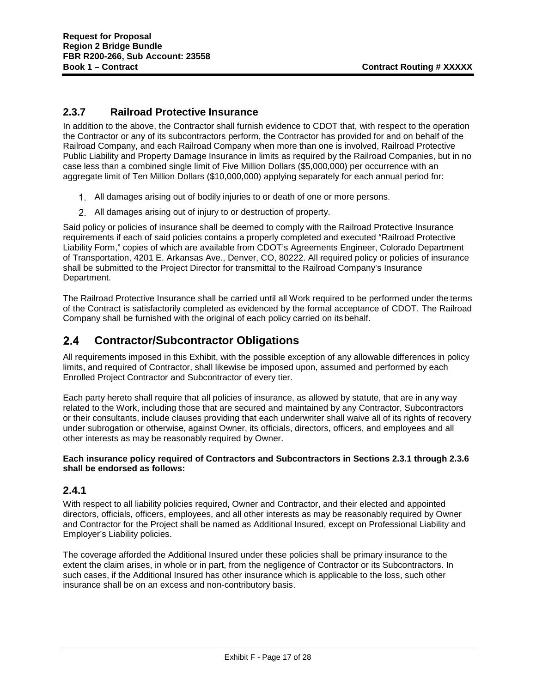# **2.3.7 Railroad Protective Insurance**

In addition to the above, the Contractor shall furnish evidence to CDOT that, with respect to the operation the Contractor or any of its subcontractors perform, the Contractor has provided for and on behalf of the Railroad Company, and each Railroad Company when more than one is involved, Railroad Protective Public Liability and Property Damage Insurance in limits as required by the Railroad Companies, but in no case less than a combined single limit of Five Million Dollars (\$5,000,000) per occurrence with an aggregate limit of Ten Million Dollars (\$10,000,000) applying separately for each annual period for:

- All damages arising out of bodily injuries to or death of one or more persons.
- All damages arising out of injury to or destruction of property.

Said policy or policies of insurance shall be deemed to comply with the Railroad Protective Insurance requirements if each of said policies contains a properly completed and executed "Railroad Protective Liability Form," copies of which are available from CDOT's Agreements Engineer, Colorado Department of Transportation, 4201 E. Arkansas Ave., Denver, CO, 80222. All required policy or policies of insurance shall be submitted to the Project Director for transmittal to the Railroad Company's Insurance Department.

The Railroad Protective Insurance shall be carried until all Work required to be performed under the terms of the Contract is satisfactorily completed as evidenced by the formal acceptance of CDOT. The Railroad Company shall be furnished with the original of each policy carried on its behalf.

#### $2.4$ **Contractor/Subcontractor Obligations**

All requirements imposed in this Exhibit, with the possible exception of any allowable differences in policy limits, and required of Contractor, shall likewise be imposed upon, assumed and performed by each Enrolled Project Contractor and Subcontractor of every tier.

Each party hereto shall require that all policies of insurance, as allowed by statute, that are in any way related to the Work, including those that are secured and maintained by any Contractor, Subcontractors or their consultants, include clauses providing that each underwriter shall waive all of its rights of recovery under subrogation or otherwise, against Owner, its officials, directors, officers, and employees and all other interests as may be reasonably required by Owner.

#### **Each insurance policy required of Contractors and Subcontractors in Sections 2.3.1 through 2.3.6 shall be endorsed as follows:**

# **2.4.1**

With respect to all liability policies required, Owner and Contractor, and their elected and appointed directors, officials, officers, employees, and all other interests as may be reasonably required by Owner and Contractor for the Project shall be named as Additional Insured, except on Professional Liability and Employer's Liability policies.

The coverage afforded the Additional Insured under these policies shall be primary insurance to the extent the claim arises, in whole or in part, from the negligence of Contractor or its Subcontractors. In such cases, if the Additional Insured has other insurance which is applicable to the loss, such other insurance shall be on an excess and non-contributory basis.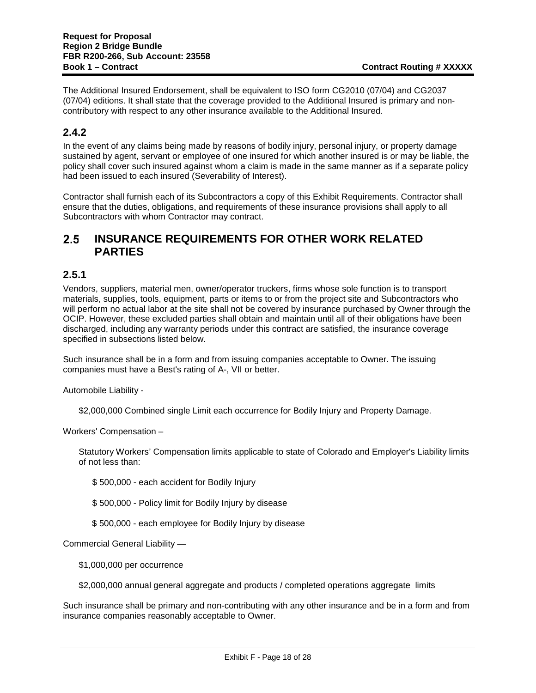The Additional Insured Endorsement, shall be equivalent to ISO form CG2010 (07/04) and CG2037 (07/04) editions. It shall state that the coverage provided to the Additional Insured is primary and noncontributory with respect to any other insurance available to the Additional Insured.

# **2.4.2**

In the event of any claims being made by reasons of bodily injury, personal injury, or property damage sustained by agent, servant or employee of one insured for which another insured is or may be liable, the policy shall cover such insured against whom a claim is made in the same manner as if a separate policy had been issued to each insured (Severability of Interest).

Contractor shall furnish each of its Subcontractors a copy of this Exhibit Requirements. Contractor shall ensure that the duties, obligations, and requirements of these insurance provisions shall apply to all Subcontractors with whom Contractor may contract.

#### $2.5$ **INSURANCE REQUIREMENTS FOR OTHER WORK RELATED PARTIES**

# **2.5.1**

Vendors, suppliers, material men, owner/operator truckers, firms whose sole function is to transport materials, supplies, tools, equipment, parts or items to or from the project site and Subcontractors who will perform no actual labor at the site shall not be covered by insurance purchased by Owner through the OCIP. However, these excluded parties shall obtain and maintain until all of their obligations have been discharged, including any warranty periods under this contract are satisfied, the insurance coverage specified in subsections listed below.

Such insurance shall be in a form and from issuing companies acceptable to Owner. The issuing companies must have a Best's rating of A-, VII or better.

Automobile Liability -

\$2,000,000 Combined single Limit each occurrence for Bodily Injury and Property Damage.

Workers' Compensation –

Statutory Workers' Compensation limits applicable to state of Colorado and Employer's Liability limits of not less than:

\$ 500,000 - each accident for Bodily Injury

\$ 500,000 - Policy limit for Bodily Injury by disease

\$ 500,000 - each employee for Bodily Injury by disease

Commercial General Liability —

\$1,000,000 per occurrence

\$2,000,000 annual general aggregate and products / completed operations aggregate limits

Such insurance shall be primary and non-contributing with any other insurance and be in a form and from insurance companies reasonably acceptable to Owner.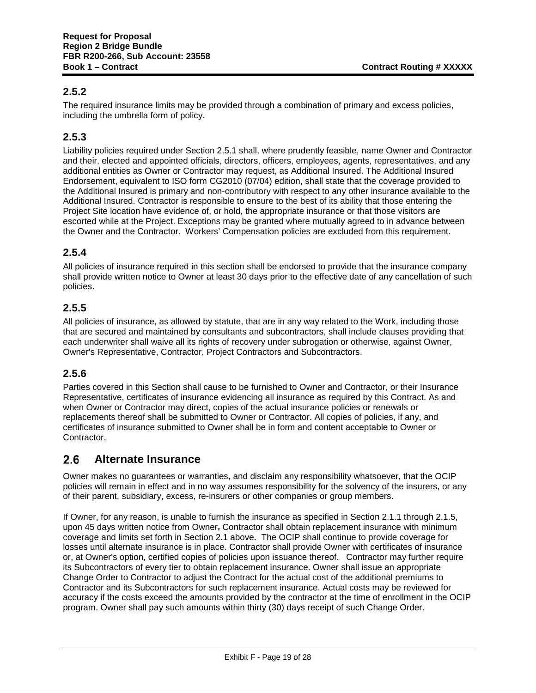# **2.5.2**

The required insurance limits may be provided through a combination of primary and excess policies, including the umbrella form of policy.

# **2.5.3**

Liability policies required under Section 2.5.1 shall, where prudently feasible, name Owner and Contractor and their, elected and appointed officials, directors, officers, employees, agents, representatives, and any additional entities as Owner or Contractor may request, as Additional Insured. The Additional Insured Endorsement, equivalent to ISO form CG2010 (07/04) edition, shall state that the coverage provided to the Additional Insured is primary and non-contributory with respect to any other insurance available to the Additional Insured. Contractor is responsible to ensure to the best of its ability that those entering the Project Site location have evidence of, or hold, the appropriate insurance or that those visitors are escorted while at the Project. Exceptions may be granted where mutually agreed to in advance between the Owner and the Contractor. Workers' Compensation policies are excluded from this requirement.

# **2.5.4**

All policies of insurance required in this section shall be endorsed to provide that the insurance company shall provide written notice to Owner at least 30 days prior to the effective date of any cancellation of such policies.

# **2.5.5**

All policies of insurance, as allowed by statute, that are in any way related to the Work, including those that are secured and maintained by consultants and subcontractors, shall include clauses providing that each underwriter shall waive all its rights of recovery under subrogation or otherwise, against Owner, Owner's Representative, Contractor, Project Contractors and Subcontractors.

# **2.5.6**

Parties covered in this Section shall cause to be furnished to Owner and Contractor, or their Insurance Representative, certificates of insurance evidencing all insurance as required by this Contract. As and when Owner or Contractor may direct, copies of the actual insurance policies or renewals or replacements thereof shall be submitted to Owner or Contractor. All copies of policies, if any, and certificates of insurance submitted to Owner shall be in form and content acceptable to Owner or Contractor.

#### $2.6$ **Alternate Insurance**

Owner makes no guarantees or warranties, and disclaim any responsibility whatsoever, that the OCIP policies will remain in effect and in no way assumes responsibility for the solvency of the insurers, or any of their parent, subsidiary, excess, re-insurers or other companies or group members.

If Owner, for any reason, is unable to furnish the insurance as specified in Section 2.1.1 through 2.1.5, upon 45 days written notice from Owner, Contractor shall obtain replacement insurance with minimum coverage and limits set forth in Section 2.1 above. The OCIP shall continue to provide coverage for losses until alternate insurance is in place. Contractor shall provide Owner with certificates of insurance or, at Owner's option, certified copies of policies upon issuance thereof. Contractor may further require its Subcontractors of every tier to obtain replacement insurance. Owner shall issue an appropriate Change Order to Contractor to adjust the Contract for the actual cost of the additional premiums to Contractor and its Subcontractors for such replacement insurance. Actual costs may be reviewed for accuracy if the costs exceed the amounts provided by the contractor at the time of enrollment in the OCIP program. Owner shall pay such amounts within thirty (30) days receipt of such Change Order.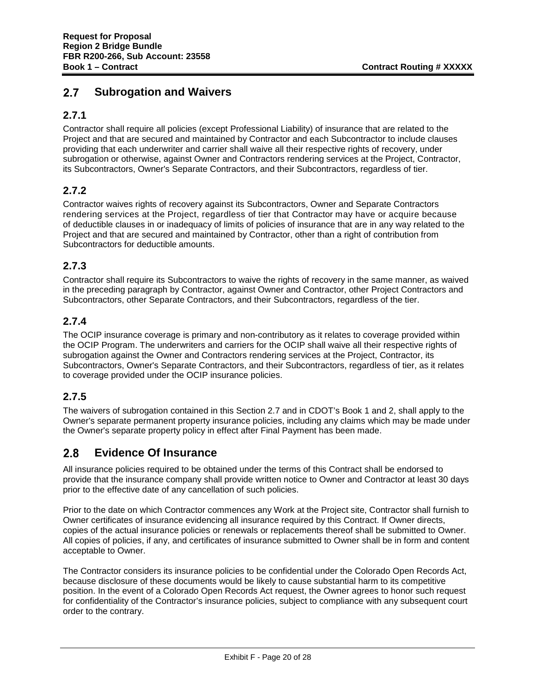#### $2.7$ **Subrogation and Waivers**

# **2.7.1**

Contractor shall require all policies (except Professional Liability) of insurance that are related to the Project and that are secured and maintained by Contractor and each Subcontractor to include clauses providing that each underwriter and carrier shall waive all their respective rights of recovery, under subrogation or otherwise, against Owner and Contractors rendering services at the Project, Contractor, its Subcontractors, Owner's Separate Contractors, and their Subcontractors, regardless of tier.

# **2.7.2**

Contractor waives rights of recovery against its Subcontractors, Owner and Separate Contractors rendering services at the Project, regardless of tier that Contractor may have or acquire because of deductible clauses in or inadequacy of limits of policies of insurance that are in any way related to the Project and that are secured and maintained by Contractor, other than a right of contribution from Subcontractors for deductible amounts.

# **2.7.3**

Contractor shall require its Subcontractors to waive the rights of recovery in the same manner, as waived in the preceding paragraph by Contractor, against Owner and Contractor, other Project Contractors and Subcontractors, other Separate Contractors, and their Subcontractors, regardless of the tier.

# **2.7.4**

The OCIP insurance coverage is primary and non-contributory as it relates to coverage provided within the OCIP Program. The underwriters and carriers for the OCIP shall waive all their respective rights of subrogation against the Owner and Contractors rendering services at the Project, Contractor, its Subcontractors, Owner's Separate Contractors, and their Subcontractors, regardless of tier, as it relates to coverage provided under the OCIP insurance policies.

# **2.7.5**

The waivers of subrogation contained in this Section 2.7 and in CDOT's Book 1 and 2, shall apply to the Owner's separate permanent property insurance policies, including any claims which may be made under the Owner's separate property policy in effect after Final Payment has been made.

#### $2.8$ **Evidence Of Insurance**

All insurance policies required to be obtained under the terms of this Contract shall be endorsed to provide that the insurance company shall provide written notice to Owner and Contractor at least 30 days prior to the effective date of any cancellation of such policies.

Prior to the date on which Contractor commences any Work at the Project site, Contractor shall furnish to Owner certificates of insurance evidencing all insurance required by this Contract. If Owner directs, copies of the actual insurance policies or renewals or replacements thereof shall be submitted to Owner. All copies of policies, if any, and certificates of insurance submitted to Owner shall be in form and content acceptable to Owner.

The Contractor considers its insurance policies to be confidential under the Colorado Open Records Act, because disclosure of these documents would be likely to cause substantial harm to its competitive position. In the event of a Colorado Open Records Act request, the Owner agrees to honor such request for confidentiality of the Contractor's insurance policies, subject to compliance with any subsequent court order to the contrary.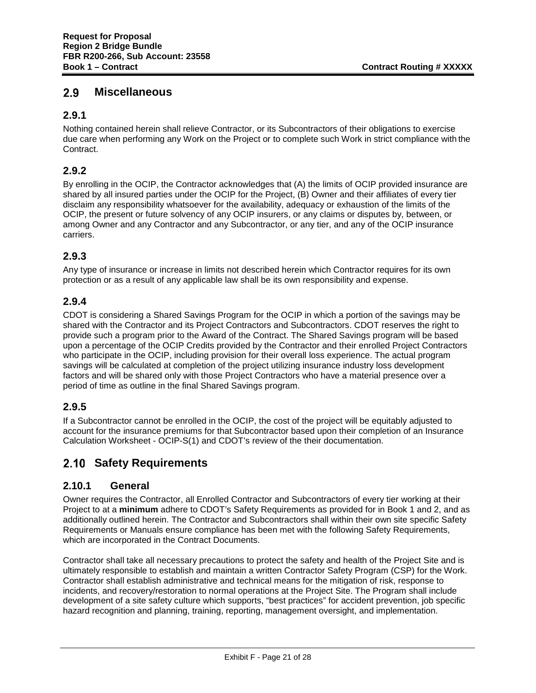#### $2.9$ **Miscellaneous**

# **2.9.1**

Nothing contained herein shall relieve Contractor, or its Subcontractors of their obligations to exercise due care when performing any Work on the Project or to complete such Work in strict compliance with the Contract.

# **2.9.2**

By enrolling in the OCIP, the Contractor acknowledges that (A) the limits of OCIP provided insurance are shared by all insured parties under the OCIP for the Project, (B) Owner and their affiliates of every tier disclaim any responsibility whatsoever for the availability, adequacy or exhaustion of the limits of the OCIP, the present or future solvency of any OCIP insurers, or any claims or disputes by, between, or among Owner and any Contractor and any Subcontractor, or any tier, and any of the OCIP insurance carriers.

# **2.9.3**

Any type of insurance or increase in limits not described herein which Contractor requires for its own protection or as a result of any applicable law shall be its own responsibility and expense.

# **2.9.4**

CDOT is considering a Shared Savings Program for the OCIP in which a portion of the savings may be shared with the Contractor and its Project Contractors and Subcontractors. CDOT reserves the right to provide such a program prior to the Award of the Contract. The Shared Savings program will be based upon a percentage of the OCIP Credits provided by the Contractor and their enrolled Project Contractors who participate in the OCIP, including provision for their overall loss experience. The actual program savings will be calculated at completion of the project utilizing insurance industry loss development factors and will be shared only with those Project Contractors who have a material presence over a period of time as outline in the final Shared Savings program.

# **2.9.5**

If a Subcontractor cannot be enrolled in the OCIP, the cost of the project will be equitably adjusted to account for the insurance premiums for that Subcontractor based upon their completion of an Insurance Calculation Worksheet - OCIP-S(1) and CDOT's review of the their documentation.

# **2.10 Safety Requirements**

# **2.10.1 General**

Owner requires the Contractor, all Enrolled Contractor and Subcontractors of every tier working at their Project to at a **minimum** adhere to CDOT's Safety Requirements as provided for in Book 1 and 2, and as additionally outlined herein. The Contractor and Subcontractors shall within their own site specific Safety Requirements or Manuals ensure compliance has been met with the following Safety Requirements, which are incorporated in the Contract Documents.

Contractor shall take all necessary precautions to protect the safety and health of the Project Site and is ultimately responsible to establish and maintain a written Contractor Safety Program (CSP) for the Work. Contractor shall establish administrative and technical means for the mitigation of risk, response to incidents, and recovery/restoration to normal operations at the Project Site. The Program shall include development of a site safety culture which supports, "best practices" for accident prevention, job specific hazard recognition and planning, training, reporting, management oversight, and implementation.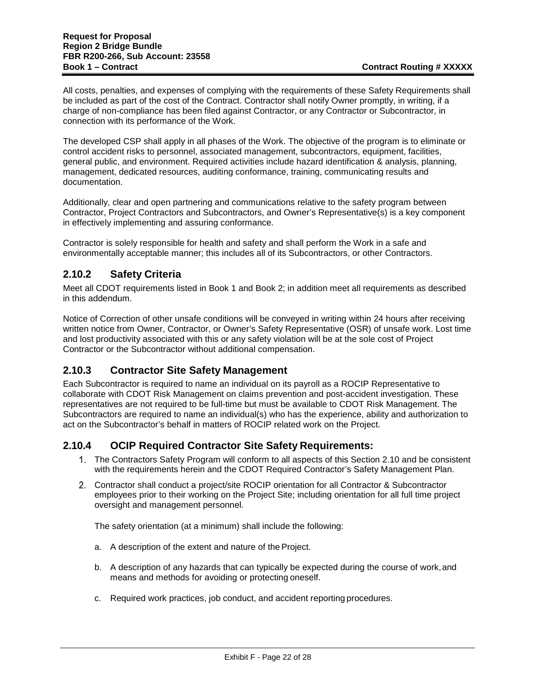All costs, penalties, and expenses of complying with the requirements of these Safety Requirements shall be included as part of the cost of the Contract. Contractor shall notify Owner promptly, in writing, if a charge of non-compliance has been filed against Contractor, or any Contractor or Subcontractor, in connection with its performance of the Work.

The developed CSP shall apply in all phases of the Work. The objective of the program is to eliminate or control accident risks to personnel, associated management, subcontractors, equipment, facilities, general public, and environment. Required activities include hazard identification & analysis, planning, management, dedicated resources, auditing conformance, training, communicating results and documentation.

Additionally, clear and open partnering and communications relative to the safety program between Contractor, Project Contractors and Subcontractors, and Owner's Representative(s) is a key component in effectively implementing and assuring conformance.

Contractor is solely responsible for health and safety and shall perform the Work in a safe and environmentally acceptable manner; this includes all of its Subcontractors, or other Contractors.

# **2.10.2 Safety Criteria**

Meet all CDOT requirements listed in Book 1 and Book 2; in addition meet all requirements as described in this addendum.

Notice of Correction of other unsafe conditions will be conveyed in writing within 24 hours after receiving written notice from Owner, Contractor, or Owner's Safety Representative (OSR) of unsafe work. Lost time and lost productivity associated with this or any safety violation will be at the sole cost of Project Contractor or the Subcontractor without additional compensation.

# **2.10.3 Contractor Site Safety Management**

Each Subcontractor is required to name an individual on its payroll as a ROCIP Representative to collaborate with CDOT Risk Management on claims prevention and post-accident investigation. These representatives are not required to be full-time but must be available to CDOT Risk Management. The Subcontractors are required to name an individual(s) who has the experience, ability and authorization to act on the Subcontractor's behalf in matters of ROCIP related work on the Project.

# **2.10.4 OCIP Required Contractor Site Safety Requirements:**

- The Contractors Safety Program will conform to all aspects of this Section 2.10 and be consistent with the requirements herein and the CDOT Required Contractor's Safety Management Plan.
- Contractor shall conduct a project/site ROCIP orientation for all Contractor & Subcontractor employees prior to their working on the Project Site; including orientation for all full time project oversight and management personnel.

The safety orientation (at a minimum) shall include the following:

- a. A description of the extent and nature of the Project.
- b. A description of any hazards that can typically be expected during the course of work,and means and methods for avoiding or protecting oneself.
- c. Required work practices, job conduct, and accident reporting procedures.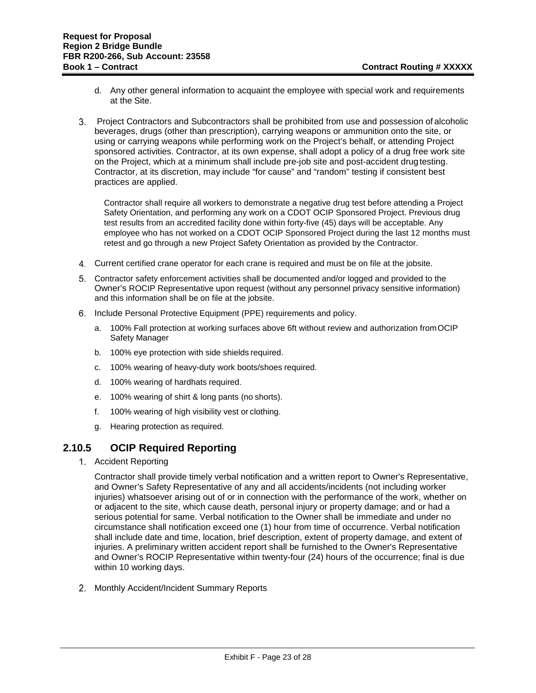- d. Any other general information to acquaint the employee with special work and requirements at the Site.
- Project Contractors and Subcontractors shall be prohibited from use and possession of alcoholic beverages, drugs (other than prescription), carrying weapons or ammunition onto the site, or using or carrying weapons while performing work on the Project's behalf, or attending Project sponsored activities. Contractor, at its own expense, shall adopt a policy of a drug free work site on the Project, which at a minimum shall include pre-job site and post-accident drugtesting. Contractor, at its discretion, may include "for cause" and "random" testing if consistent best practices are applied.

Contractor shall require all workers to demonstrate a negative drug test before attending a Project Safety Orientation, and performing any work on a CDOT OCIP Sponsored Project. Previous drug test results from an accredited facility done within forty-five (45) days will be acceptable. Any employee who has not worked on a CDOT OCIP Sponsored Project during the last 12 months must retest and go through a new Project Safety Orientation as provided by the Contractor.

- Current certified crane operator for each crane is required and must be on file at the jobsite.
- Contractor safety enforcement activities shall be documented and/or logged and provided to the Owner's ROCIP Representative upon request (without any personnel privacy sensitive information) and this information shall be on file at the jobsite.
- 6. Include Personal Protective Equipment (PPE) requirements and policy.
	- a. 100% Fall protection at working surfaces above 6ft without review and authorization fromOCIP Safety Manager
	- b. 100% eye protection with side shields required.
	- c. 100% wearing of heavy-duty work boots/shoes required.
	- d. 100% wearing of hardhats required.
	- e. 100% wearing of shirt & long pants (no shorts).
	- f. 100% wearing of high visibility vest or clothing.
	- g. Hearing protection as required.

#### **2.10.5 OCIP Required Reporting**

1. Accident Reporting

Contractor shall provide timely verbal notification and a written report to Owner's Representative, and Owner's Safety Representative of any and all accidents/incidents (not including worker injuries) whatsoever arising out of or in connection with the performance of the work, whether on or adjacent to the site, which cause death, personal injury or property damage; and or had a serious potential for same. Verbal notification to the Owner shall be immediate and under no circumstance shall notification exceed one (1) hour from time of occurrence. Verbal notification shall include date and time, location, brief description, extent of property damage, and extent of injuries. A preliminary written accident report shall be furnished to the Owner's Representative and Owner's ROCIP Representative within twenty-four (24) hours of the occurrence; final is due within 10 working days.

2. Monthly Accident/Incident Summary Reports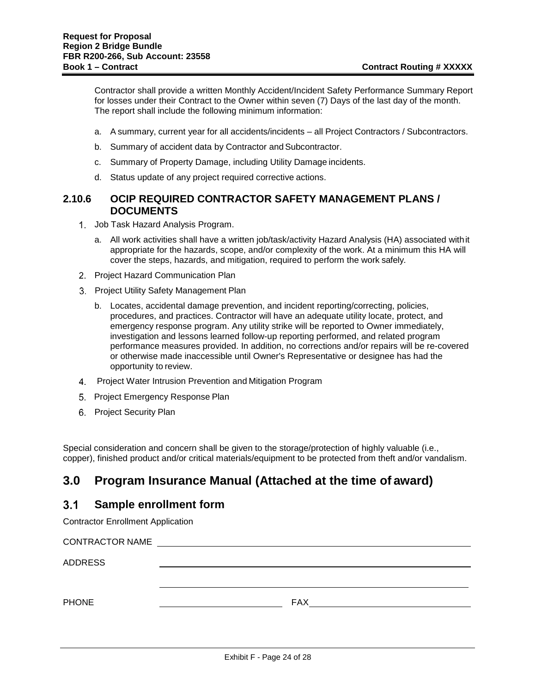Contractor shall provide a written Monthly Accident/Incident Safety Performance Summary Report for losses under their Contract to the Owner within seven (7) Days of the last day of the month. The report shall include the following minimum information:

- a. A summary, current year for all accidents/incidents all Project Contractors / Subcontractors.
- b. Summary of accident data by Contractor and Subcontractor.
- c. Summary of Property Damage, including Utility Damage incidents.
- d. Status update of any project required corrective actions.

#### **2.10.6 OCIP REQUIRED CONTRACTOR SAFETY MANAGEMENT PLANS / DOCUMENTS**

- 1. Job Task Hazard Analysis Program.
	- a. All work activities shall have a written job/task/activity Hazard Analysis (HA) associated withit appropriate for the hazards, scope, and/or complexity of the work. At a minimum this HA will cover the steps, hazards, and mitigation, required to perform the work safely.
- 2. Project Hazard Communication Plan
- 3. Project Utility Safety Management Plan
	- b. Locates, accidental damage prevention, and incident reporting/correcting, policies, procedures, and practices. Contractor will have an adequate utility locate, protect, and emergency response program. Any utility strike will be reported to Owner immediately, investigation and lessons learned follow-up reporting performed, and related program performance measures provided. In addition, no corrections and/or repairs will be re-covered or otherwise made inaccessible until Owner's Representative or designee has had the opportunity to review.
- Project Water Intrusion Prevention and Mitigation Program
- 5. Project Emergency Response Plan
- 6. Project Security Plan

Special consideration and concern shall be given to the storage/protection of highly valuable (i.e., copper), finished product and/or critical materials/equipment to be protected from theft and/or vandalism.

# **3.0 Program Insurance Manual (Attached at the time of award)**

#### $3.1$ **Sample enrollment form**

Contractor Enrollment Application

| <b>CONTRACTOR NAME</b> |            |
|------------------------|------------|
| <b>ADDRESS</b>         |            |
|                        |            |
| <b>PHONE</b>           | <b>FAX</b> |
|                        |            |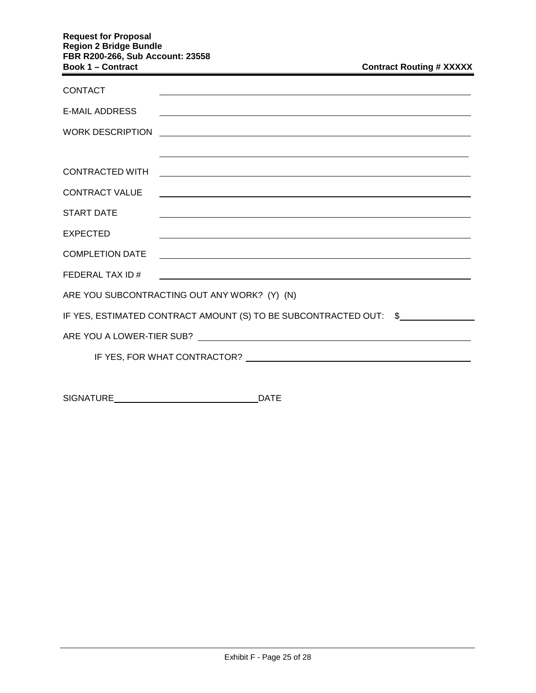#### **Request for Proposal Region 2 Bridge Bundle FBR R200-266, Sub Account: 23558 Book 1 – Contract**

| <b>Contract Routing # XXXXX</b> |  |  |
|---------------------------------|--|--|
|---------------------------------|--|--|

| <u> 1989 - Johann Barnett, fransk politiker (d. 1989)</u>           |                                                                                                                                                                                                                                                                                                                                                                                                                                                                                                               |
|---------------------------------------------------------------------|---------------------------------------------------------------------------------------------------------------------------------------------------------------------------------------------------------------------------------------------------------------------------------------------------------------------------------------------------------------------------------------------------------------------------------------------------------------------------------------------------------------|
|                                                                     |                                                                                                                                                                                                                                                                                                                                                                                                                                                                                                               |
| <u> 1989 - Johann Stoff, amerikansk politiker (d. 1989)</u>         |                                                                                                                                                                                                                                                                                                                                                                                                                                                                                                               |
|                                                                     |                                                                                                                                                                                                                                                                                                                                                                                                                                                                                                               |
|                                                                     |                                                                                                                                                                                                                                                                                                                                                                                                                                                                                                               |
|                                                                     |                                                                                                                                                                                                                                                                                                                                                                                                                                                                                                               |
|                                                                     |                                                                                                                                                                                                                                                                                                                                                                                                                                                                                                               |
|                                                                     |                                                                                                                                                                                                                                                                                                                                                                                                                                                                                                               |
| ARE YOU SUBCONTRACTING OUT ANY WORK? (Y) (N)                        |                                                                                                                                                                                                                                                                                                                                                                                                                                                                                                               |
| IF YES, ESTIMATED CONTRACT AMOUNT (S) TO BE SUBCONTRACTED OUT: \$   |                                                                                                                                                                                                                                                                                                                                                                                                                                                                                                               |
|                                                                     |                                                                                                                                                                                                                                                                                                                                                                                                                                                                                                               |
| IF YES, FOR WHAT CONTRACTOR?<br><u>IF YES, FOR WHAT CONTRACTOR?</u> |                                                                                                                                                                                                                                                                                                                                                                                                                                                                                                               |
|                                                                     |                                                                                                                                                                                                                                                                                                                                                                                                                                                                                                               |
|                                                                     | <u> 1989 - Andrea Andrew Maria (h. 1989).</u><br>,我们也不能在这里的时候,我们也不能在这里的时候,我们也不能会在这里的时候,我们也不能会在这里的时候,我们也不能会在这里的时候,我们也不能会在这里的时候,我们也<br><u> 1989 - Johann Stoff, deutscher Stoffen und der Stoffen und der Stoffen und der Stoffen und der Stoffen und der</u><br><u> 1989 - Johann Stoff, deutscher Stoffen und der Stoffen und der Stoffen und der Stoffen und der Stoffen und der</u><br><u> 1989 - Johann Stoff, deutscher Stoffen und der Stoffen und der Stoffen und der Stoffen und der Stoffen und d</u> |

SIGNATURE DATE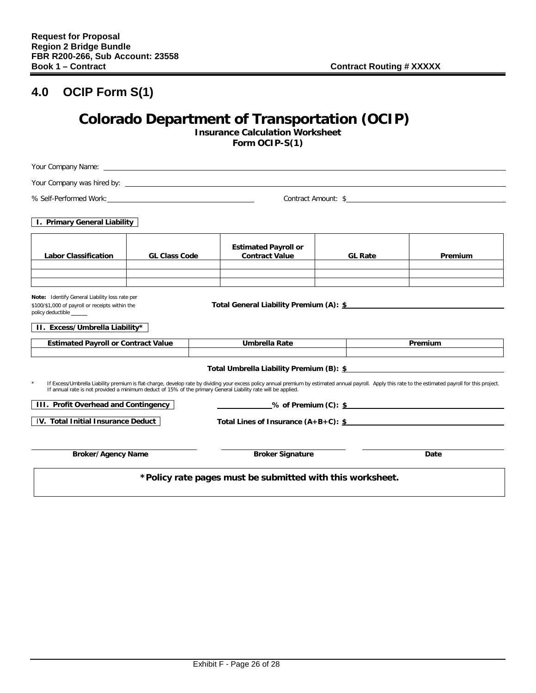# **4.0 OCIP Form S(1)**

# **Colorado Department of Transportation (OCIP)**

**Insurance Calculation Worksheet Form OCIP-S(1)**

| Your Company was hired by: Note that the state of the state of the state of the state of the state of the state of the state of the state of the state of the state of the state of the state of the state of the state of the                                                                                                                                                  |                      |  |                                                           |  |                |         |
|---------------------------------------------------------------------------------------------------------------------------------------------------------------------------------------------------------------------------------------------------------------------------------------------------------------------------------------------------------------------------------|----------------------|--|-----------------------------------------------------------|--|----------------|---------|
| Contract Amount: \$                                                                                                                                                                                                                                                                                                                                                             |                      |  |                                                           |  |                |         |
| I. Primary General Liability                                                                                                                                                                                                                                                                                                                                                    |                      |  |                                                           |  |                |         |
| <b>Labor Classification</b>                                                                                                                                                                                                                                                                                                                                                     | <b>GL Class Code</b> |  | <b>Estimated Payroll or</b><br><b>Contract Value</b>      |  | <b>GL Rate</b> | Premium |
| Note: Identify General Liability loss rate per<br>\$100/\$1,000 of payroll or receipts within the<br>policy deductible ______<br>II. Excess/Umbrella Liability*                                                                                                                                                                                                                 |                      |  | Total General Liability Premium (A): \$                   |  |                |         |
| <b>Estimated Payroll or Contract Value</b>                                                                                                                                                                                                                                                                                                                                      |                      |  | Umbrella Rate                                             |  |                | Premium |
| Total Umbrella Liability Premium (B): \$<br>$\star$<br>If Excess/Umbrella Liability premium is flat-charge, develop rate by dividing your excess policy annual premium by estimated annual payroll. Apply this rate to the estimated payroll for this project.<br>If annual rate is not provided a minimum deduct of 15% of the primary General Liability rate will be applied. |                      |  |                                                           |  |                |         |
| III. Profit Overhead and Contingency                                                                                                                                                                                                                                                                                                                                            |                      |  |                                                           |  |                |         |
| IV. Total Initial Insurance Deduct<br>Total Lines of Insurance $(A+B+C):$ \$                                                                                                                                                                                                                                                                                                    |                      |  |                                                           |  |                |         |
| <b>Broker/Agency Name</b>                                                                                                                                                                                                                                                                                                                                                       |                      |  | <b>Broker Signature</b>                                   |  |                | Date    |
|                                                                                                                                                                                                                                                                                                                                                                                 |                      |  | *Policy rate pages must be submitted with this worksheet. |  |                |         |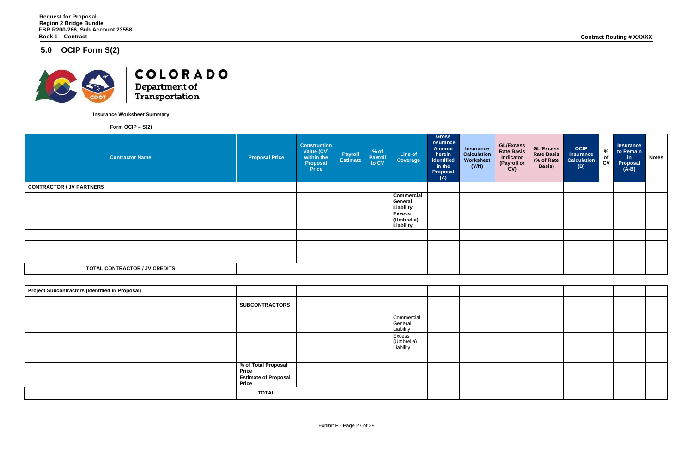# **5.0 OCIP Form S(2)**



COLORADO Department of<br>Transportation

**Insurance Worksheet Summary** 

**Form OCIP – S(2)**

| <b>Project Subcontractors (Identified in Proposal)</b> |                                             |  |                                    |  |  |
|--------------------------------------------------------|---------------------------------------------|--|------------------------------------|--|--|
|                                                        | <b>SUBCONTRACTORS</b>                       |  |                                    |  |  |
|                                                        |                                             |  | Commercial<br>General<br>Liability |  |  |
|                                                        |                                             |  | Excess<br>(Umbrella)<br>Liability  |  |  |
|                                                        |                                             |  |                                    |  |  |
|                                                        | % of Total Proposal<br><b>Price</b>         |  |                                    |  |  |
|                                                        | <b>Estimate of Proposal</b><br><b>Price</b> |  |                                    |  |  |
|                                                        | <b>TOTAL</b>                                |  |                                    |  |  |

| <b>Contractor Name</b>               | <b>Proposal Price</b> | <b>Construction</b><br>Value (CV)<br>within the<br>Proposal<br><b>Price</b> | <b>Payroll</b><br><b>Estimate</b> | % of<br>Payroll<br>to CV | Line of<br>Coverage                       | <b>Gross</b><br><b>Insurance</b><br><b>Amount</b><br>herein<br>identified<br>in the<br><b>Proposal</b><br>(A) | <b>Insurance</b><br><b>Calculation</b><br>Worksheet<br>(Y/N) | <b>GL/Excess</b><br><b>Rate Basis</b><br>Indicator<br>(Payroll or<br>CV) | <b>GL/Excess</b><br><b>Rate Basis</b><br>(% of Rate)<br>Basis) | <b>OCIP</b><br><b>Insurance</b><br><b>Calculation</b><br>(B) | $\%$<br>of<br>$c_{V}$ | <b>Insurance</b><br>to Remain<br>$\mathsf{in}$<br><b>Proposal</b><br>$(A-B)$ | <b>Notes</b> |
|--------------------------------------|-----------------------|-----------------------------------------------------------------------------|-----------------------------------|--------------------------|-------------------------------------------|---------------------------------------------------------------------------------------------------------------|--------------------------------------------------------------|--------------------------------------------------------------------------|----------------------------------------------------------------|--------------------------------------------------------------|-----------------------|------------------------------------------------------------------------------|--------------|
| <b>CONTRACTOR / JV PARTNERS</b>      |                       |                                                                             |                                   |                          |                                           |                                                                                                               |                                                              |                                                                          |                                                                |                                                              |                       |                                                                              |              |
|                                      |                       |                                                                             |                                   |                          | <b>Commercial</b><br>General<br>Liability |                                                                                                               |                                                              |                                                                          |                                                                |                                                              |                       |                                                                              |              |
|                                      |                       |                                                                             |                                   |                          | <b>Excess</b><br>(Umbrella)<br>Liability  |                                                                                                               |                                                              |                                                                          |                                                                |                                                              |                       |                                                                              |              |
|                                      |                       |                                                                             |                                   |                          |                                           |                                                                                                               |                                                              |                                                                          |                                                                |                                                              |                       |                                                                              |              |
|                                      |                       |                                                                             |                                   |                          |                                           |                                                                                                               |                                                              |                                                                          |                                                                |                                                              |                       |                                                                              |              |
|                                      |                       |                                                                             |                                   |                          |                                           |                                                                                                               |                                                              |                                                                          |                                                                |                                                              |                       |                                                                              |              |
| <b>TOTAL CONTRACTOR / JV CREDITS</b> |                       |                                                                             |                                   |                          |                                           |                                                                                                               |                                                              |                                                                          |                                                                |                                                              |                       |                                                                              |              |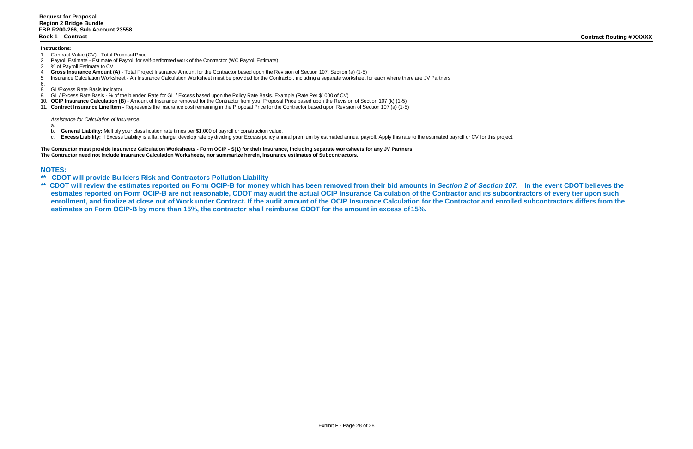#### **Instructions:**

- 1. Contract Value (CV) Total Proposal Price
- 2. Payroll Estimate Estimate of Payroll for self-performed work of the Contractor (WC Payroll Estimate).
- 3. % of Payroll Estimate to CV.
- 4. **Gross Insurance Amount (A)**  Total Project Insurance Amount for the Contractor based upon the Revision of Section 107, Section (a) (1-5)
- 5. Insurance Calculation Worksheet An Insurance Calculation Worksheet must be provided for the Contractor, including a separate worksheet for each where there are JV Partners

- $\frac{6}{8}$ . 8. GL/Excess Rate Basis Indicator
- 9. GL / Excess Rate Basis % of the blended Rate for GL / Excess based upon the Policy Rate Basis. Example (Rate Per \$1000 of CV)
- 10. **OCIP Insurance Calculation (B)** Amount of Insurance removed for the Contractor from your Proposal Price based upon the Revision of Section 107 (k) (1-5)
- 11. **Contract Insurance Line Item -** Represents the insurance cost remaining in the Proposal Price for the Contractor based upon Revision of Section 107 (a) (1-5)

- a.
- b. **General Liability:** Multiply your classification rate times per \$1,000 of payroll or construction value.
- c. Excess Liability: If Excess Liability is a flat charge, develop rate by dividing your Excess policy annual premium by estimated annual payroll. Apply this rate to the estimated payroll or CV for this project.

*Assistance for Calculation of Insurance:*

**The Contractor must provide Insurance Calculation Worksheets - Form OCIP - S(1) for their insurance, including separate worksheets for any JV Partners. The Contractor need not include Insurance Calculation Worksheets, nor summarize herein, insurance estimates of Subcontractors.**

# **NOTES:**<br>\*\* CDO

- **\*\* CDOT will provide Builders Risk and Contractors Pollution Liability**
- **\*\* CDOT will review the estimates reported on Form OCIP-B for money which has been removed from their bid amounts in** *Section 2 of Section 107.* **In the event CDOT believes the estimates reported on Form OCIP-B are not reasonable, CDOT may audit the actual OCIP Insurance Calculation of the Contractor and its subcontractors of every tier upon such**  enrollment, and finalize at close out of Work under Contract. If the audit amount of the OCIP Insurance Calculation for the Contractor and enrolled subcontractors differs from the **estimates on Form OCIP-B by more than 15%, the contractor shall reimburse CDOT for the amount in excess of15%.**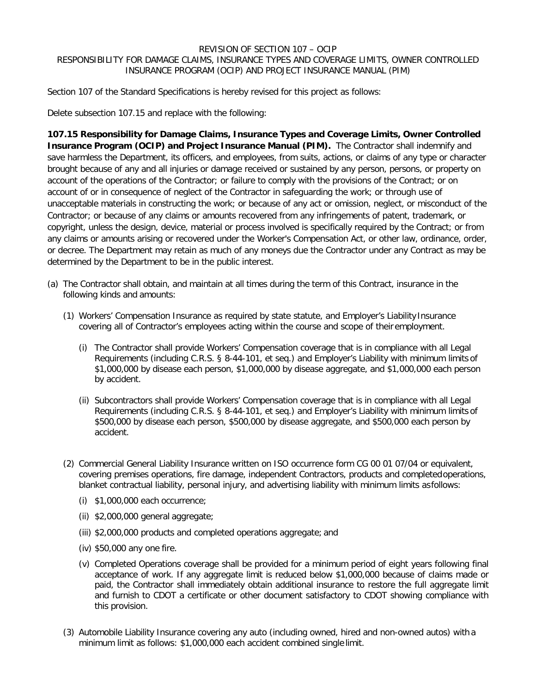#### REVISION OF SECTION 107 – OCIP RESPONSIBILITY FOR DAMAGE CLAIMS, INSURANCE TYPES AND COVERAGE LIMITS, OWNER CONTROLLED INSURANCE PROGRAM (OCIP) AND PROJECT INSURANCE MANUAL (PIM)

Section 107 of the Standard Specifications is hereby revised for this project as follows:

Delete subsection 107.15 and replace with the following:

**107.15 Responsibility for Damage Claims, Insurance Types and Coverage Limits, Owner Controlled Insurance Program (OCIP) and Project Insurance Manual (PIM).** The Contractor shall indemnify and save harmless the Department, its officers, and employees, from suits, actions, or claims of any type or character brought because of any and all injuries or damage received or sustained by any person, persons, or property on account of the operations of the Contractor; or failure to comply with the provisions of the Contract; or on account of or in consequence of neglect of the Contractor in safeguarding the work; or through use of unacceptable materials in constructing the work; or because of any act or omission, neglect, or misconduct of the Contractor; or because of any claims or amounts recovered from any infringements of patent, trademark, or copyright, unless the design, device, material or process involved is specifically required by the Contract; or from any claims or amounts arising or recovered under the Worker's Compensation Act, or other law, ordinance, order, or decree. The Department may retain as much of any moneys due the Contractor under any Contract as may be determined by the Department to be in the public interest.

- (a) The Contractor shall obtain, and maintain at all times during the term of this Contract, insurance in the following kinds and amounts:
	- (1) Workers' Compensation Insurance as required by state statute, and Employer's Liability Insurance covering all of Contractor's employees acting within the course and scope of their employment.
		- (i) The Contractor shall provide Workers' Compensation coverage that is in compliance with all Legal Requirements (including C.R.S. § 8-44-101, et seq.) and Employer's Liability with minimum limits of \$1,000,000 by disease each person, \$1,000,000 by disease aggregate, and \$1,000,000 each person by accident.
		- (ii) Subcontractors shall provide Workers' Compensation coverage that is in compliance with all Legal Requirements (including C.R.S. § 8-44-101, et seq.) and Employer's Liability with minimum limits of \$500,000 by disease each person, \$500,000 by disease aggregate, and \$500,000 each person by accident.
	- (2) Commercial General Liability Insurance written on ISO occurrence form CG 00 01 07/04 or equivalent, covering premises operations, fire damage, independent Contractors, products and completedoperations, blanket contractual liability, personal injury, and advertising liability with minimum limits asfollows:
		- (i) \$1,000,000 each occurrence;
		- (ii) \$2,000,000 general aggregate;
		- (iii) \$2,000,000 products and completed operations aggregate; and
		- (iv) \$50,000 any one fire.
		- (v) Completed Operations coverage shall be provided for a minimum period of eight years following final acceptance of work. If any aggregate limit is reduced below \$1,000,000 because of claims made or paid, the Contractor shall immediately obtain additional insurance to restore the full aggregate limit and furnish to CDOT a certificate or other document satisfactory to CDOT showing compliance with this provision.
	- (3) Automobile Liability Insurance covering any auto (including owned, hired and non-owned autos) with a minimum limit as follows: \$1,000,000 each accident combined single limit.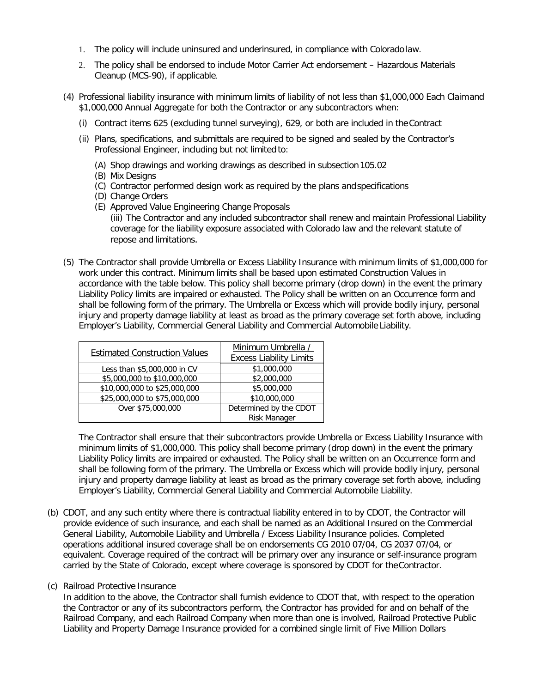- 1. The policy will include uninsured and underinsured, in compliance with Colorado law.
- 2. The policy shall be endorsed to include Motor Carrier Act endorsement Hazardous Materials Cleanup (MCS-90), if applicable.
- (4) Professional liability insurance with minimum limits of liability of not less than \$1,000,000 Each Claimand \$1,000,000 Annual Aggregate for both the Contractor or any subcontractors when:
	- (i) Contract items 625 (excluding tunnel surveying), 629, or both are included in theContract
	- (ii) Plans, specifications, and submittals are required to be signed and sealed by the Contractor's Professional Engineer, including but not limited to:
		- (A) Shop drawings and working drawings as described in subsection 105.02
		- (B) Mix Designs
		- (C) Contractor performed design work as required by the plans andspecifications
		- (D) Change Orders
		- (E) Approved Value Engineering Change Proposals
			- (iii) The Contractor and any included subcontractor shall renew and maintain Professional Liability coverage for the liability exposure associated with Colorado law and the relevant statute of repose and limitations.
- (5) The Contractor shall provide Umbrella or Excess Liability Insurance with minimum limits of \$1,000,000 for work under this contract. Minimum limits shall be based upon estimated Construction Values in accordance with the table below. This policy shall become primary (drop down) in the event the primary Liability Policy limits are impaired or exhausted. The Policy shall be written on an Occurrence form and shall be following form of the primary. The Umbrella or Excess which will provide bodily injury, personal injury and property damage liability at least as broad as the primary coverage set forth above, including Employer's Liability, Commercial General Liability and Commercial Automobile Liability.

| <b>Estimated Construction Values</b> | Minimum Umbrella /             |
|--------------------------------------|--------------------------------|
|                                      | <b>Excess Liability Limits</b> |
| Less than \$5,000,000 in CV          | \$1,000,000                    |
| \$5,000,000 to \$10,000,000          | \$2,000,000                    |
| \$10,000,000 to \$25,000,000         | \$5,000,000                    |
| \$25,000,000 to \$75,000,000         | \$10,000,000                   |
| Over \$75,000,000                    | Determined by the CDOT         |
|                                      | Risk Manager                   |

The Contractor shall ensure that their subcontractors provide Umbrella or Excess Liability Insurance with minimum limits of \$1,000,000. This policy shall become primary (drop down) in the event the primary Liability Policy limits are impaired or exhausted. The Policy shall be written on an Occurrence form and shall be following form of the primary. The Umbrella or Excess which will provide bodily injury, personal injury and property damage liability at least as broad as the primary coverage set forth above, including Employer's Liability, Commercial General Liability and Commercial Automobile Liability.

(b) CDOT, and any such entity where there is contractual liability entered in to by CDOT, the Contractor will provide evidence of such insurance, and each shall be named as an Additional Insured on the Commercial General Liability, Automobile Liability and Umbrella / Excess Liability Insurance policies. Completed operations additional insured coverage shall be on endorsements CG 2010 07/04, CG 2037 07/04, or equivalent. Coverage required of the contract will be primary over any insurance or self-insurance program carried by the State of Colorado, except where coverage is sponsored by CDOT for theContractor.

#### (c) Railroad Protective Insurance

In addition to the above, the Contractor shall furnish evidence to CDOT that, with respect to the operation the Contractor or any of its subcontractors perform, the Contractor has provided for and on behalf of the Railroad Company, and each Railroad Company when more than one is involved, Railroad Protective Public Liability and Property Damage Insurance provided for a combined single limit of Five Million Dollars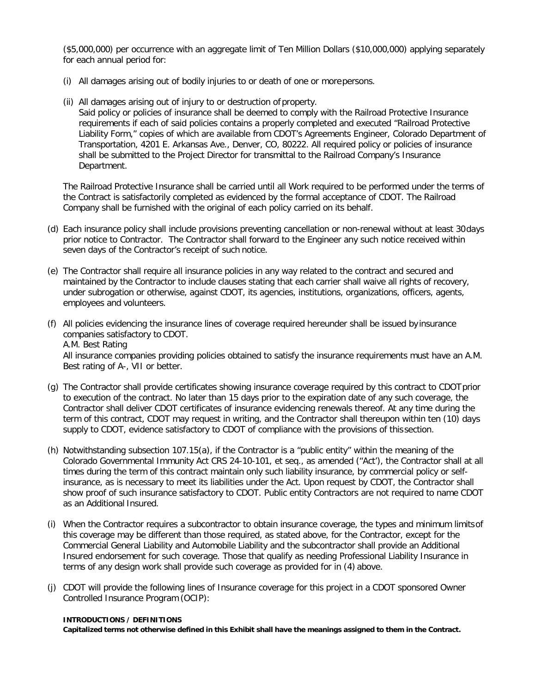(\$5,000,000) per occurrence with an aggregate limit of Ten Million Dollars (\$10,000,000) applying separately for each annual period for:

- (i) All damages arising out of bodily injuries to or death of one or morepersons.
- (ii) All damages arising out of injury to or destruction of property.

Said policy or policies of insurance shall be deemed to comply with the Railroad Protective Insurance requirements if each of said policies contains a properly completed and executed "Railroad Protective Liability Form," copies of which are available from CDOT's Agreements Engineer, Colorado Department of Transportation, 4201 E. Arkansas Ave., Denver, CO, 80222. All required policy or policies of insurance shall be submitted to the Project Director for transmittal to the Railroad Company's Insurance Department.

The Railroad Protective Insurance shall be carried until all Work required to be performed under the terms of the Contract is satisfactorily completed as evidenced by the formal acceptance of CDOT. The Railroad Company shall be furnished with the original of each policy carried on its behalf.

- (d) Each insurance policy shall include provisions preventing cancellation or non-renewal without at least 30days prior notice to Contractor. The Contractor shall forward to the Engineer any such notice received within seven days of the Contractor's receipt of such notice.
- (e) The Contractor shall require all insurance policies in any way related to the contract and secured and maintained by the Contractor to include clauses stating that each carrier shall waive all rights of recovery, under subrogation or otherwise, against CDOT, its agencies, institutions, organizations, officers, agents, employees and volunteers.
- (f) All policies evidencing the insurance lines of coverage required hereunder shall be issued by insurance companies satisfactory to CDOT. A.M. Best Rating All insurance companies providing policies obtained to satisfy the insurance requirements must have an A.M. Best rating of A-, VII or better.
- (g) The Contractor shall provide certificates showing insurance coverage required by this contract to CDOTprior to execution of the contract. No later than 15 days prior to the expiration date of any such coverage, the Contractor shall deliver CDOT certificates of insurance evidencing renewals thereof. At any time during the term of this contract, CDOT may request in writing, and the Contractor shall thereupon within ten (10) days supply to CDOT, evidence satisfactory to CDOT of compliance with the provisions of this section.
- (h) Notwithstanding subsection 107.15(a), if the Contractor is a "public entity" within the meaning of the Colorado Governmental Immunity Act CRS 24-10-101, et seq., as amended ("Act'), the Contractor shall at all times during the term of this contract maintain only such liability insurance, by commercial policy or selfinsurance, as is necessary to meet its liabilities under the Act. Upon request by CDOT, the Contractor shall show proof of such insurance satisfactory to CDOT. Public entity Contractors are not required to name CDOT as an Additional Insured.
- (i) When the Contractor requires a subcontractor to obtain insurance coverage, the types and minimum limitsof this coverage may be different than those required, as stated above, for the Contractor, except for the Commercial General Liability and Automobile Liability and the subcontractor shall provide an Additional Insured endorsement for such coverage. Those that qualify as needing Professional Liability Insurance in terms of any design work shall provide such coverage as provided for in (4) above.
- (j) CDOT will provide the following lines of Insurance coverage for this project in a CDOT sponsored Owner Controlled Insurance Program (OCIP):

#### **INTRODUCTIONS / DEFINITIONS**

**Capitalized terms not otherwise defined in this Exhibit shall have the meanings assigned to them in the Contract.**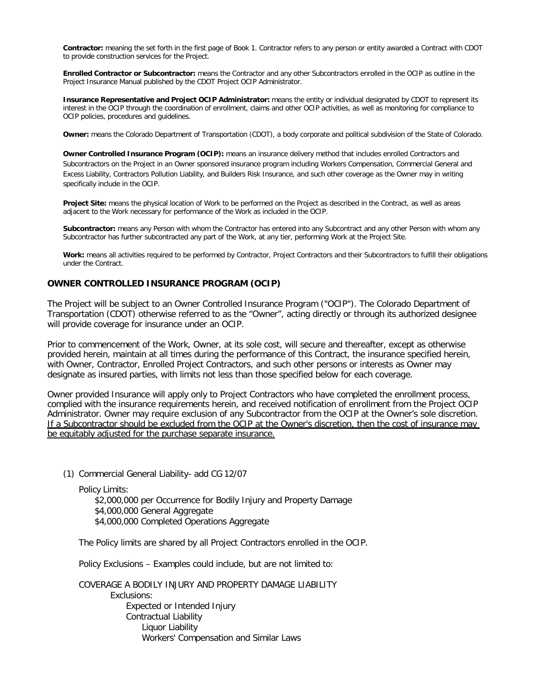**Contractor:** meaning the set forth in the first page of Book 1. Contractor refers to any person or entity awarded a Contract with CDOT to provide construction services for the Project.

**Enrolled Contractor or Subcontractor:** means the Contractor and any other Subcontractors enrolled in the OCIP as outline in the Project Insurance Manual published by the CDOT Project OCIP Administrator.

**Insurance Representative and Project OCIP Administrator:** means the entity or individual designated by CDOT to represent its interest in the OCIP through the coordination of enrollment, claims and other OCIP activities, as well as monitoring for compliance to OCIP policies, procedures and guidelines.

**Owner:** means the Colorado Department of Transportation (CDOT), a body corporate and political subdivision of the State of Colorado.

**Owner Controlled Insurance Program (OCIP):** means an insurance delivery method that includes enrolled Contractors and Subcontractors on the Project in an Owner sponsored insurance program including Workers Compensation, Commercial General and Excess Liability, Contractors Pollution Liability, and Builders Risk Insurance, and such other coverage as the Owner may in writing specifically include in the OCIP.

**Project Site:** means the physical location of Work to be performed on the Project as described in the Contract, as well as areas adjacent to the Work necessary for performance of the Work as included in the OCIP.

**Subcontractor:** means any Person with whom the Contractor has entered into any Subcontract and any other Person with whom any Subcontractor has further subcontracted any part of the Work, at any tier, performing Work at the Project Site.

Work: means all activities required to be performed by Contractor, Project Contractors and their Subcontractors to fulfill their obligations under the Contract.

#### **OWNER CONTROLLED INSURANCE PROGRAM (OCIP)**

The Project will be subject to an Owner Controlled Insurance Program ("OCIP"). The Colorado Department of Transportation (CDOT) otherwise referred to as the "Owner", acting directly or through its authorized designee will provide coverage for insurance under an OCIP.

Prior to commencement of the Work, Owner, at its sole cost, will secure and thereafter, except as otherwise provided herein, maintain at all times during the performance of this Contract, the insurance specified herein, with Owner, Contractor, Enrolled Project Contractors, and such other persons or interests as Owner may designate as insured parties, with limits not less than those specified below for each coverage.

Owner provided Insurance will apply only to Project Contractors who have completed the enrollment process, complied with the insurance requirements herein, and received notification of enrollment from the Project OCIP Administrator. Owner may require exclusion of any Subcontractor from the OCIP at the Owner's sole discretion. If a Subcontractor should be excluded from the OCIP at the Owner's discretion, then the cost of insurance may be equitably adjusted for the purchase separate insurance.

(1) Commercial General Liability- add CG 12/07

Policy Limits:

\$2,000,000 per Occurrence for Bodily Injury and Property Damage

- \$4,000,000 General Aggregate
- \$4,000,000 Completed Operations Aggregate

The Policy limits are shared by all Project Contractors enrolled in the OCIP.

Policy Exclusions – Examples could include, but are not limited to:

COVERAGE A BODILY INJURY AND PROPERTY DAMAGE LIABILITY Exclusions: Expected or Intended Injury Contractual Liability Liquor Liability Workers' Compensation and Similar Laws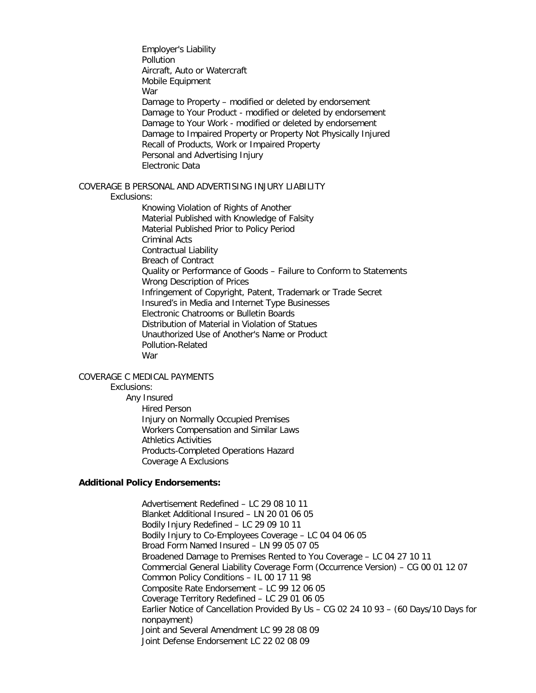Employer's Liability **Pollution** Aircraft, Auto or Watercraft Mobile Equipment War Damage to Property – modified or deleted by endorsement Damage to Your Product - modified or deleted by endorsement Damage to Your Work - modified or deleted by endorsement Damage to Impaired Property or Property Not Physically Injured Recall of Products, Work or Impaired Property Personal and Advertising Injury Electronic Data COVERAGE B PERSONAL AND ADVERTISING INJURY LIABILITY Exclusions: Knowing Violation of Rights of Another Material Published with Knowledge of Falsity Material Published Prior to Policy Period Criminal Acts Contractual Liability Breach of Contract Quality or Performance of Goods – Failure to Conform to Statements Wrong Description of Prices Infringement of Copyright, Patent, Trademark or Trade Secret Insured's in Media and Internet Type Businesses Electronic Chatrooms or Bulletin Boards

> Distribution of Material in Violation of Statues Unauthorized Use of Another's Name or Product Pollution-Related War

#### COVERAGE C MEDICAL PAYMENTS

#### Exclusions:

Any Insured Hired Person Injury on Normally Occupied Premises Workers Compensation and Similar Laws Athletics Activities Products-Completed Operations Hazard Coverage A Exclusions

#### **Additional Policy Endorsements:**

Advertisement Redefined – LC 29 08 10 11 Blanket Additional Insured – LN 20 01 06 05 Bodily Injury Redefined – LC 29 09 10 11 Bodily Injury to Co-Employees Coverage – LC 04 04 06 05 Broad Form Named Insured – LN 99 05 07 05 Broadened Damage to Premises Rented to You Coverage – LC 04 27 10 11 Commercial General Liability Coverage Form (Occurrence Version) – CG 00 01 12 07 Common Policy Conditions – IL 00 17 11 98 Composite Rate Endorsement – LC 99 12 06 05 Coverage Territory Redefined – LC 29 01 06 05 Earlier Notice of Cancellation Provided By Us – CG 02 24 10 93 – (60 Days/10 Days for nonpayment) Joint and Several Amendment LC 99 28 08 09 Joint Defense Endorsement LC 22 02 08 09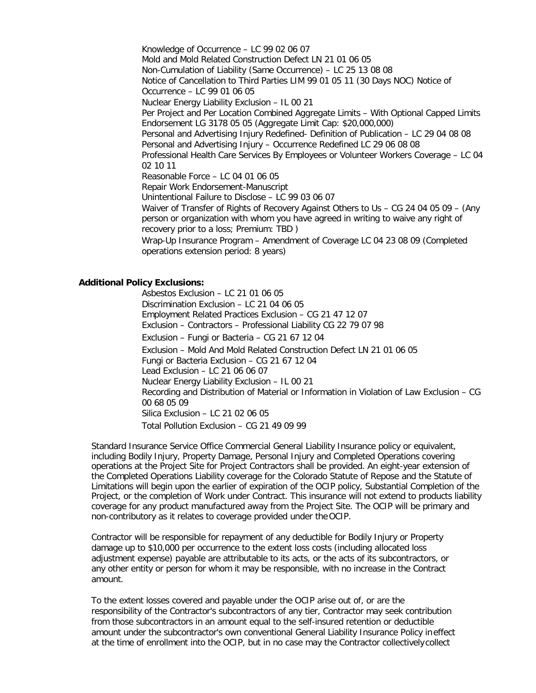Knowledge of Occurrence – LC 99 02 06 07 Mold and Mold Related Construction Defect LN 21 01 06 05 Non-Cumulation of Liability (Same Occurrence) – LC 25 13 08 08 Notice of Cancellation to Third Parties LIM 99 01 05 11 (30 Days NOC) Notice of Occurrence – LC 99 01 06 05 Nuclear Energy Liability Exclusion – IL 00 21 Per Project and Per Location Combined Aggregate Limits – With Optional Capped Limits Endorsement LG 3178 05 05 (Aggregate Limit Cap: \$20,000,000) Personal and Advertising Injury Redefined- Definition of Publication – LC 29 04 08 08 Personal and Advertising Injury – Occurrence Redefined LC 29 06 08 08 Professional Health Care Services By Employees or Volunteer Workers Coverage – LC 04 02 10 11 Reasonable Force – LC 04 01 06 05 Repair Work Endorsement-Manuscript Unintentional Failure to Disclose – LC 99 03 06 07 Waiver of Transfer of Rights of Recovery Against Others to Us – CG 24 04 05 09 – (Any person or organization with whom you have agreed in writing to waive any right of recovery prior to a loss; Premium: TBD ) Wrap-Up Insurance Program – Amendment of Coverage LC 04 23 08 09 (Completed operations extension period: 8 years)

#### **Additional Policy Exclusions:**

Asbestos Exclusion – LC 21 01 06 05 Discrimination Exclusion – LC 21 04 06 05 Employment Related Practices Exclusion – CG 21 47 12 07 Exclusion – Contractors – Professional Liability CG 22 79 07 98 Exclusion – Fungi or Bacteria – CG 21 67 12 04 Exclusion – Mold And Mold Related Construction Defect LN 21 01 06 05 Fungi or Bacteria Exclusion – CG 21 67 12 04 Lead Exclusion – LC 21 06 06 07 Nuclear Energy Liability Exclusion – IL 00 21 Recording and Distribution of Material or Information in Violation of Law Exclusion – CG 00 68 05 09 Silica Exclusion – LC 21 02 06 05 Total Pollution Exclusion – CG 21 49 09 99

Standard Insurance Service Office Commercial General Liability Insurance policy or equivalent, including Bodily Injury, Property Damage, Personal Injury and Completed Operations covering operations at the Project Site for Project Contractors shall be provided. An eight-year extension of the Completed Operations Liability coverage for the Colorado Statute of Repose and the Statute of Limitations will begin upon the earlier of expiration of the OCIP policy, Substantial Completion of the Project, or the completion of Work under Contract. This insurance will not extend to products liability coverage for any product manufactured away from the Project Site. The OCIP will be primary and non-contributory as it relates to coverage provided under the OCIP.

Contractor will be responsible for repayment of any deductible for Bodily Injury or Property damage up to \$10,000 per occurrence to the extent loss costs (including allocated loss adjustment expense) payable are attributable to its acts, or the acts of its subcontractors, or any other entity or person for whom it may be responsible, with no increase in the Contract amount.

To the extent losses covered and payable under the OCIP arise out of, or are the responsibility of the Contractor's subcontractors of any tier, Contractor may seek contribution from those subcontractors in an amount equal to the self-insured retention or deductible amount under the subcontractor's own conventional General Liability Insurance Policy ineffect at the time of enrollment into the OCIP, but in no case may the Contractor collectively collect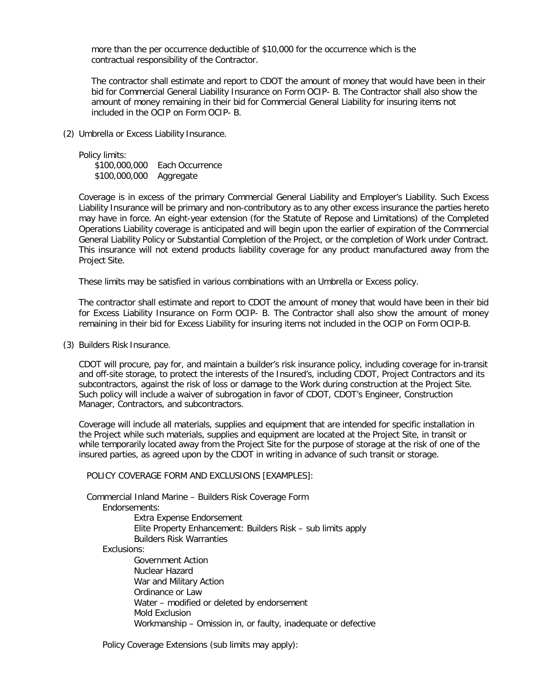more than the per occurrence deductible of \$10,000 for the occurrence which is the contractual responsibility of the Contractor.

The contractor shall estimate and report to CDOT the amount of money that would have been in their bid for Commercial General Liability Insurance on Form OCIP- B. The Contractor shall also show the amount of money remaining in their bid for Commercial General Liability for insuring items not included in the OCIP on Form OCIP- B.

(2) Umbrella or Excess Liability Insurance.

Policy limits:

\$100,000,000 Each Occurrence \$100,000,000 Aggregate

Coverage is in excess of the primary Commercial General Liability and Employer's Liability. Such Excess Liability Insurance will be primary and non-contributory as to any other excess insurance the parties hereto may have in force. An eight-year extension (for the Statute of Repose and Limitations) of the Completed Operations Liability coverage is anticipated and will begin upon the earlier of expiration of the Commercial General Liability Policy or Substantial Completion of the Project, or the completion of Work under Contract. This insurance will not extend products liability coverage for any product manufactured away from the Project Site.

These limits may be satisfied in various combinations with an Umbrella or Excess policy.

The contractor shall estimate and report to CDOT the amount of money that would have been in their bid for Excess Liability Insurance on Form OCIP- B. The Contractor shall also show the amount of money remaining in their bid for Excess Liability for insuring items not included in the OCIP on Form OCIP-B.

(3) Builders Risk Insurance.

CDOT will procure, pay for, and maintain a builder's risk insurance policy, including coverage for in-transit and off-site storage, to protect the interests of the Insured's, including CDOT, Project Contractors and its subcontractors, against the risk of loss or damage to the Work during construction at the Project Site. Such policy will include a waiver of subrogation in favor of CDOT, CDOT's Engineer, Construction Manager, Contractors, and subcontractors.

Coverage will include all materials, supplies and equipment that are intended for specific installation in the Project while such materials, supplies and equipment are located at the Project Site, in transit or while temporarily located away from the Project Site for the purpose of storage at the risk of one of the insured parties, as agreed upon by the CDOT in writing in advance of such transit or storage.

POLICY COVERAGE FORM AND EXCLUSIONS [EXAMPLES]:

Commercial Inland Marine – Builders Risk Coverage Form Endorsements: Extra Expense Endorsement

Elite Property Enhancement: Builders Risk – sub limits apply Builders Risk Warranties

Exclusions:

Government Action Nuclear Hazard War and Military Action Ordinance or Law Water – modified or deleted by endorsement Mold Exclusion Workmanship – Omission in, or faulty, inadequate or defective

Policy Coverage Extensions (sub limits may apply):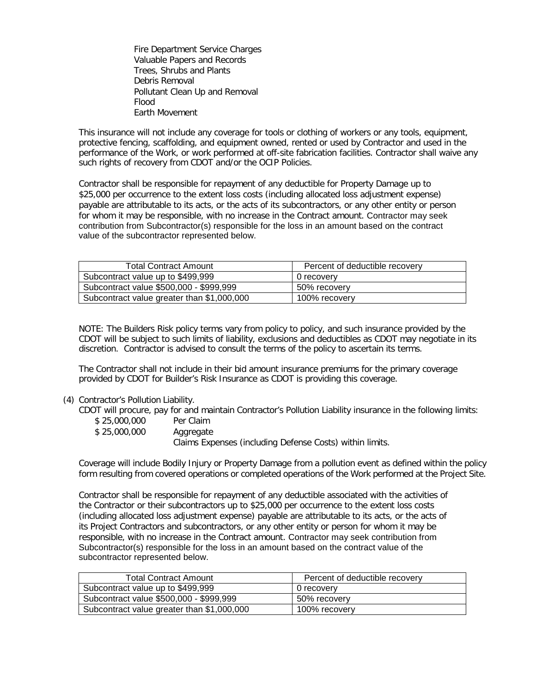Fire Department Service Charges Valuable Papers and Records Trees, Shrubs and Plants Debris Removal Pollutant Clean Up and Removal Flood Earth Movement

This insurance will not include any coverage for tools or clothing of workers or any tools, equipment, protective fencing, scaffolding, and equipment owned, rented or used by Contractor and used in the performance of the Work, or work performed at off-site fabrication facilities. Contractor shall waive any such rights of recovery from CDOT and/or the OCIP Policies.

Contractor shall be responsible for repayment of any deductible for Property Damage up to \$25,000 per occurrence to the extent loss costs (including allocated loss adjustment expense) payable are attributable to its acts, or the acts of its subcontractors, or any other entity or person for whom it may be responsible, with no increase in the Contract amount. Contractor may seek contribution from Subcontractor(s) responsible for the loss in an amount based on the contract value of the subcontractor represented below.

| <b>Total Contract Amount</b>               | Percent of deductible recovery |
|--------------------------------------------|--------------------------------|
| Subcontract value up to \$499,999          | 0 recovery                     |
| Subcontract value \$500,000 - \$999,999    | 50% recoverv                   |
| Subcontract value greater than \$1,000,000 | 100% recovery                  |

NOTE: The Builders Risk policy terms vary from policy to policy, and such insurance provided by the CDOT will be subject to such limits of liability, exclusions and deductibles as CDOT may negotiate in its discretion. Contractor is advised to consult the terms of the policy to ascertain its terms.

The Contractor shall not include in their bid amount insurance premiums for the primary coverage provided by CDOT for Builder's Risk Insurance as CDOT is providing this coverage.

#### (4) Contractor's Pollution Liability.

CDOT will procure, pay for and maintain Contractor's Pollution Liability insurance in the following limits:

| \$25,000,000 | Per Claim                                                |
|--------------|----------------------------------------------------------|
| \$25,000,000 | Aggregate                                                |
|              | Claims Expenses (including Defense Costs) within limits. |

Coverage will include Bodily Injury or Property Damage from a pollution event as defined within the policy form resulting from covered operations or completed operations of the Work performed at the Project Site.

Contractor shall be responsible for repayment of any deductible associated with the activities of the Contractor or their subcontractors up to \$25,000 per occurrence to the extent loss costs (including allocated loss adjustment expense) payable are attributable to its acts, or the acts of its Project Contractors and subcontractors, or any other entity or person for whom it may be responsible, with no increase in the Contract amount. Contractor may seek contribution from Subcontractor(s) responsible for the loss in an amount based on the contract value of the subcontractor represented below.

| <b>Total Contract Amount</b>               | Percent of deductible recovery |
|--------------------------------------------|--------------------------------|
| Subcontract value up to \$499,999          | 0 recovery                     |
| Subcontract value \$500,000 - \$999,999    | 50% recovery                   |
| Subcontract value greater than \$1,000,000 | 100% recovery                  |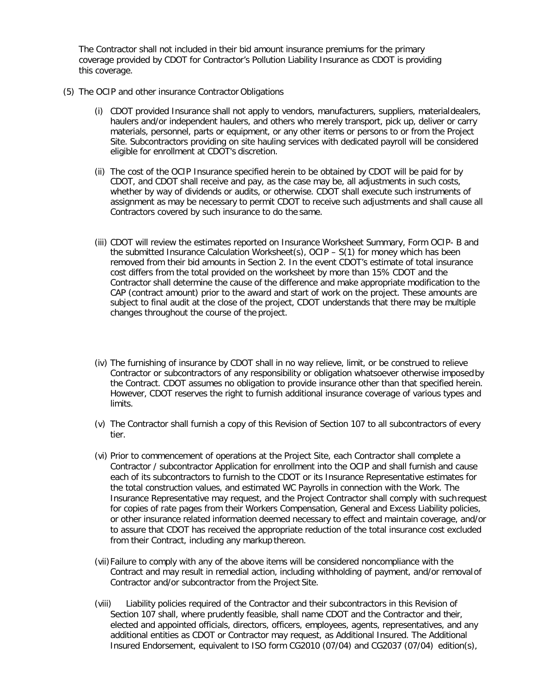The Contractor shall not included in their bid amount insurance premiums for the primary coverage provided by CDOT for Contractor's Pollution Liability Insurance as CDOT is providing this coverage.

- (5) The OCIP and other insurance Contractor Obligations
	- (i) CDOT provided Insurance shall not apply to vendors, manufacturers, suppliers, materialdealers, haulers and/or independent haulers, and others who merely transport, pick up, deliver or carry materials, personnel, parts or equipment, or any other items or persons to or from the Project Site. Subcontractors providing on site hauling services with dedicated payroll will be considered eligible for enrollment at CDOT's discretion.
	- (ii) The cost of the OCIP Insurance specified herein to be obtained by CDOT will be paid for by CDOT, and CDOT shall receive and pay, as the case may be, all adjustments in such costs, whether by way of dividends or audits, or otherwise. CDOT shall execute such instruments of assignment as may be necessary to permit CDOT to receive such adjustments and shall cause all Contractors covered by such insurance to do the same.
	- (iii) CDOT will review the estimates reported on Insurance Worksheet Summary, Form OCIP- B and the submitted Insurance Calculation Worksheet(s), OCIP – S(1) for money which has been removed from their bid amounts in Section 2. In the event CDOT's estimate of total insurance cost differs from the total provided on the worksheet by more than 15% CDOT and the Contractor shall determine the cause of the difference and make appropriate modification to the CAP (contract amount) prior to the award and start of work on the project. These amounts are subject to final audit at the close of the project, CDOT understands that there may be multiple changes throughout the course of the project.
	- (iv) The furnishing of insurance by CDOT shall in no way relieve, limit, or be construed to relieve Contractor or subcontractors of any responsibility or obligation whatsoever otherwise imposedby the Contract. CDOT assumes no obligation to provide insurance other than that specified herein. However, CDOT reserves the right to furnish additional insurance coverage of various types and limits.
	- (v) The Contractor shall furnish a copy of this Revision of Section 107 to all subcontractors of every tier.
	- (vi) Prior to commencement of operations at the Project Site, each Contractor shall complete a Contractor / subcontractor Application for enrollment into the OCIP and shall furnish and cause each of its subcontractors to furnish to the CDOT or its Insurance Representative estimates for the total construction values, and estimated WC Payrolls in connection with the Work. The Insurance Representative may request, and the Project Contractor shall comply with such request for copies of rate pages from their Workers Compensation, General and Excess Liability policies, or other insurance related information deemed necessary to effect and maintain coverage, and/or to assure that CDOT has received the appropriate reduction of the total insurance cost excluded from their Contract, including any markup thereon.
	- (vii)Failure to comply with any of the above items will be considered noncompliance with the Contract and may result in remedial action, including withholding of payment, and/or removal of Contractor and/or subcontractor from the Project Site.
	- (viii) Liability policies required of the Contractor and their subcontractors in this Revision of Section 107 shall, where prudently feasible, shall name CDOT and the Contractor and their, elected and appointed officials, directors, officers, employees, agents, representatives, and any additional entities as CDOT or Contractor may request, as Additional Insured. The Additional Insured Endorsement, equivalent to ISO form CG2010 (07/04) and CG2037 (07/04) edition(s),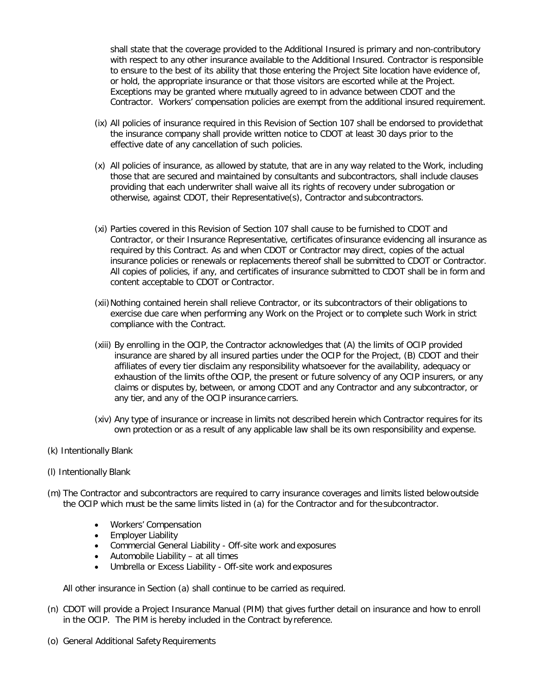shall state that the coverage provided to the Additional Insured is primary and non-contributory with respect to any other insurance available to the Additional Insured. Contractor is responsible to ensure to the best of its ability that those entering the Project Site location have evidence of, or hold, the appropriate insurance or that those visitors are escorted while at the Project. Exceptions may be granted where mutually agreed to in advance between CDOT and the Contractor. Workers' compensation policies are exempt from the additional insured requirement.

- (ix) All policies of insurance required in this Revision of Section 107 shall be endorsed to providethat the insurance company shall provide written notice to CDOT at least 30 days prior to the effective date of any cancellation of such policies.
- (x) All policies of insurance, as allowed by statute, that are in any way related to the Work, including those that are secured and maintained by consultants and subcontractors, shall include clauses providing that each underwriter shall waive all its rights of recovery under subrogation or otherwise, against CDOT, their Representative(s), Contractor and subcontractors.
- (xi) Parties covered in this Revision of Section 107 shall cause to be furnished to CDOT and Contractor, or their Insurance Representative, certificates ofinsurance evidencing all insurance as required by this Contract. As and when CDOT or Contractor may direct, copies of the actual insurance policies or renewals or replacements thereof shall be submitted to CDOT or Contractor. All copies of policies, if any, and certificates of insurance submitted to CDOT shall be in form and content acceptable to CDOT or Contractor.
- (xii) Nothing contained herein shall relieve Contractor, or its subcontractors of their obligations to exercise due care when performing any Work on the Project or to complete such Work in strict compliance with the Contract.
- (xiii) By enrolling in the OCIP, the Contractor acknowledges that (A) the limits of OCIP provided insurance are shared by all insured parties under the OCIP for the Project, (B) CDOT and their affiliates of every tier disclaim any responsibility whatsoever for the availability, adequacy or exhaustion of the limits ofthe OCIP, the present or future solvency of any OCIP insurers, or any claims or disputes by, between, or among CDOT and any Contractor and any subcontractor, or any tier, and any of the OCIP insurance carriers.
- (xiv) Any type of insurance or increase in limits not described herein which Contractor requires for its own protection or as a result of any applicable law shall be its own responsibility and expense.
- (k) Intentionally Blank
- (l) Intentionally Blank
- (m) The Contractor and subcontractors are required to carry insurance coverages and limits listed belowoutside the OCIP which must be the same limits listed in (a) for the Contractor and for the subcontractor.
	- Workers' Compensation
	- Employer Liability
	- Commercial General Liability Off-site work and exposures
	- Automobile Liability at all times
	- Umbrella or Excess Liability Off-site work and exposures

All other insurance in Section (a) shall continue to be carried as required.

- (n) CDOT will provide a Project Insurance Manual (PIM) that gives further detail on insurance and how to enroll in the OCIP. The PIM is hereby included in the Contract by reference.
- (o) General Additional Safety Requirements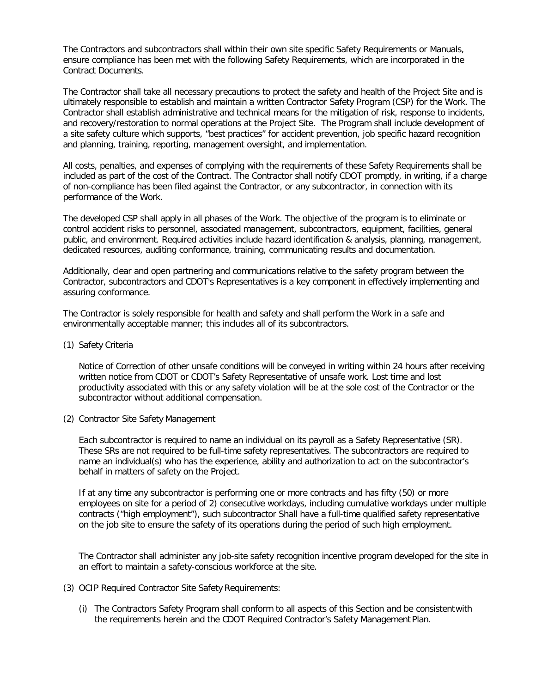The Contractors and subcontractors shall within their own site specific Safety Requirements or Manuals, ensure compliance has been met with the following Safety Requirements, which are incorporated in the Contract Documents.

The Contractor shall take all necessary precautions to protect the safety and health of the Project Site and is ultimately responsible to establish and maintain a written Contractor Safety Program (CSP) for the Work. The Contractor shall establish administrative and technical means for the mitigation of risk, response to incidents, and recovery/restoration to normal operations at the Project Site. The Program shall include development of a site safety culture which supports, "best practices" for accident prevention, job specific hazard recognition and planning, training, reporting, management oversight, and implementation.

All costs, penalties, and expenses of complying with the requirements of these Safety Requirements shall be included as part of the cost of the Contract. The Contractor shall notify CDOT promptly, in writing, if a charge of non-compliance has been filed against the Contractor, or any subcontractor, in connection with its performance of the Work.

The developed CSP shall apply in all phases of the Work. The objective of the program is to eliminate or control accident risks to personnel, associated management, subcontractors, equipment, facilities, general public, and environment. Required activities include hazard identification & analysis, planning, management, dedicated resources, auditing conformance, training, communicating results and documentation.

Additionally, clear and open partnering and communications relative to the safety program between the Contractor, subcontractors and CDOT's Representatives is a key component in effectively implementing and assuring conformance.

The Contractor is solely responsible for health and safety and shall perform the Work in a safe and environmentally acceptable manner; this includes all of its subcontractors.

(1) Safety Criteria

Notice of Correction of other unsafe conditions will be conveyed in writing within 24 hours after receiving written notice from CDOT or CDOT's Safety Representative of unsafe work. Lost time and lost productivity associated with this or any safety violation will be at the sole cost of the Contractor or the subcontractor without additional compensation.

(2) Contractor Site Safety Management

Each subcontractor is required to name an individual on its payroll as a Safety Representative (SR). These SRs are not required to be full-time safety representatives. The subcontractors are required to name an individual(s) who has the experience, ability and authorization to act on the subcontractor's behalf in matters of safety on the Project.

If at any time any subcontractor is performing one or more contracts and has fifty (50) or more employees on site for a period of 2) consecutive workdays, including cumulative workdays under multiple contracts ("high employment"), such subcontractor Shall have a full-time qualified safety representative on the job site to ensure the safety of its operations during the period of such high employment.

The Contractor shall administer any job-site safety recognition incentive program developed for the site in an effort to maintain a safety-conscious workforce at the site.

- (3) OCIP Required Contractor Site Safety Requirements:
	- (i) The Contractors Safety Program shall conform to all aspects of this Section and be consistentwith the requirements herein and the CDOT Required Contractor's Safety Management Plan.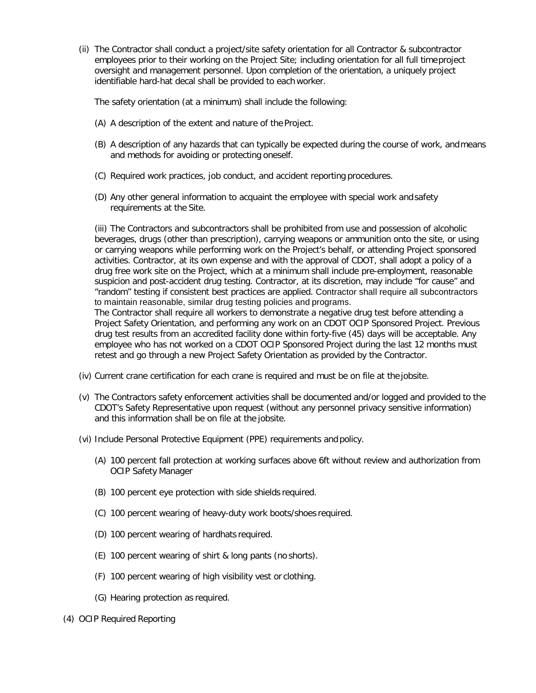(ii) The Contractor shall conduct a project/site safety orientation for all Contractor & subcontractor employees prior to their working on the Project Site; including orientation for all full timeproject oversight and management personnel. Upon completion of the orientation, a uniquely project identifiable hard-hat decal shall be provided to each worker.

The safety orientation (at a minimum) shall include the following:

- (A) A description of the extent and nature of the Project.
- (B) A description of any hazards that can typically be expected during the course of work, andmeans and methods for avoiding or protecting oneself.
- (C) Required work practices, job conduct, and accident reporting procedures.
- (D) Any other general information to acquaint the employee with special work andsafety requirements at the Site.

(iii) The Contractors and subcontractors shall be prohibited from use and possession of alcoholic beverages, drugs (other than prescription), carrying weapons or ammunition onto the site, or using or carrying weapons while performing work on the Project's behalf, or attending Project sponsored activities. Contractor, at its own expense and with the approval of CDOT, shall adopt a policy of a drug free work site on the Project, which at a minimum shall include pre-employment, reasonable suspicion and post-accident drug testing. Contractor, at its discretion, may include "for cause" and "random" testing if consistent best practices are applied. Contractor shall require all subcontractors to maintain reasonable, similar drug testing policies and programs.

The Contractor shall require all workers to demonstrate a negative drug test before attending a Project Safety Orientation, and performing any work on an CDOT OCIP Sponsored Project. Previous drug test results from an accredited facility done within forty-five (45) days will be acceptable. Any employee who has not worked on a CDOT OCIP Sponsored Project during the last 12 months must retest and go through a new Project Safety Orientation as provided by the Contractor.

- (iv) Current crane certification for each crane is required and must be on file at the jobsite.
- (v) The Contractors safety enforcement activities shall be documented and/or logged and provided to the CDOT's Safety Representative upon request (without any personnel privacy sensitive information) and this information shall be on file at the jobsite.
- (vi) Include Personal Protective Equipment (PPE) requirements and policy.
	- (A) 100 percent fall protection at working surfaces above 6ft without review and authorization from OCIP Safety Manager
	- (B) 100 percent eye protection with side shields required.
	- (C) 100 percent wearing of heavy-duty work boots/shoes required.
	- (D) 100 percent wearing of hardhats required.
	- (E) 100 percent wearing of shirt & long pants (no shorts).
	- (F) 100 percent wearing of high visibility vest or clothing.
	- (G) Hearing protection as required.
- (4) OCIP Required Reporting